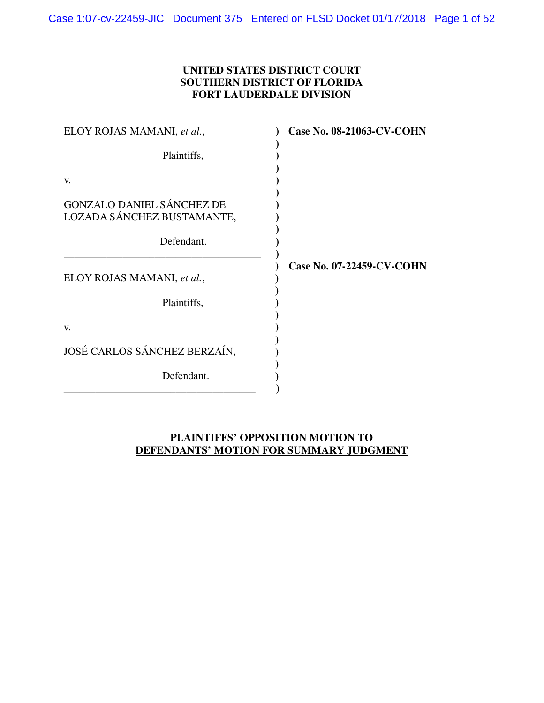# **UNITED STATES DISTRICT COURT SOUTHERN DISTRICT OF FLORIDA FORT LAUDERDALE DIVISION**

| ELOY ROJAS MAMANI, et al.,                                     | <b>Case No. 08-21063-CV-COHN</b> |
|----------------------------------------------------------------|----------------------------------|
| Plaintiffs,                                                    |                                  |
| V.                                                             |                                  |
| <b>GONZALO DANIEL SÁNCHEZ DE</b><br>LOZADA SÁNCHEZ BUSTAMANTE, |                                  |
| Defendant.                                                     |                                  |
| ELOY ROJAS MAMANI, et al.,                                     | Case No. 07-22459-CV-COHN        |
| Plaintiffs,                                                    |                                  |
| V.                                                             |                                  |
| JOSÉ CARLOS SÁNCHEZ BERZAÍN,                                   |                                  |
| Defendant.                                                     |                                  |

# **PLAINTIFFS' OPPOSITION MOTION TO DEFENDANTS' MOTION FOR SUMMARY JUDGMENT**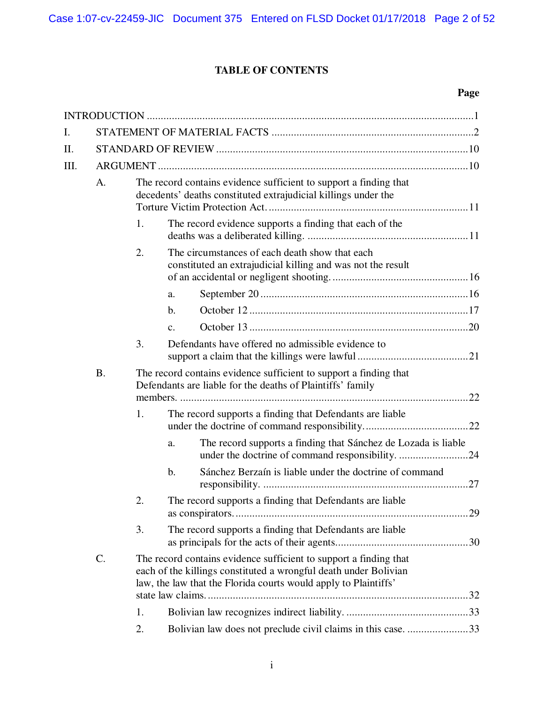# **TABLE OF CONTENTS**

# **Page**

| I.   |                 |                                                                                                                                     |                                                                                                                                                                                                          |     |
|------|-----------------|-------------------------------------------------------------------------------------------------------------------------------------|----------------------------------------------------------------------------------------------------------------------------------------------------------------------------------------------------------|-----|
| Π.   |                 |                                                                                                                                     |                                                                                                                                                                                                          |     |
| III. |                 |                                                                                                                                     |                                                                                                                                                                                                          |     |
|      | A.              | The record contains evidence sufficient to support a finding that<br>decedents' deaths constituted extrajudicial killings under the |                                                                                                                                                                                                          |     |
|      |                 | 1.                                                                                                                                  | The record evidence supports a finding that each of the                                                                                                                                                  |     |
|      |                 | 2.                                                                                                                                  | The circumstances of each death show that each<br>constituted an extrajudicial killing and was not the result                                                                                            |     |
|      |                 |                                                                                                                                     | a.                                                                                                                                                                                                       |     |
|      |                 |                                                                                                                                     | b.                                                                                                                                                                                                       |     |
|      |                 |                                                                                                                                     | $\mathbf{c}$ .                                                                                                                                                                                           |     |
|      |                 | 3.                                                                                                                                  | Defendants have offered no admissible evidence to                                                                                                                                                        |     |
|      | <b>B.</b>       |                                                                                                                                     | The record contains evidence sufficient to support a finding that<br>Defendants are liable for the deaths of Plaintiffs' family                                                                          |     |
|      |                 | 1.                                                                                                                                  | The record supports a finding that Defendants are liable                                                                                                                                                 |     |
|      |                 |                                                                                                                                     | The record supports a finding that Sánchez de Lozada is liable<br>a.<br>under the doctrine of command responsibility. 24                                                                                 |     |
|      |                 |                                                                                                                                     | Sánchez Berzaín is liable under the doctrine of command<br>b.                                                                                                                                            |     |
|      |                 | 2.                                                                                                                                  | The record supports a finding that Defendants are liable                                                                                                                                                 | .29 |
|      |                 | 3.                                                                                                                                  | The record supports a finding that Defendants are liable                                                                                                                                                 |     |
|      | $\mathcal{C}$ . |                                                                                                                                     | The record contains evidence sufficient to support a finding that<br>each of the killings constituted a wrongful death under Bolivian<br>law, the law that the Florida courts would apply to Plaintiffs' |     |
|      |                 | 1.                                                                                                                                  |                                                                                                                                                                                                          |     |
|      |                 | 2.                                                                                                                                  | Bolivian law does not preclude civil claims in this case. 33                                                                                                                                             |     |
|      |                 |                                                                                                                                     |                                                                                                                                                                                                          |     |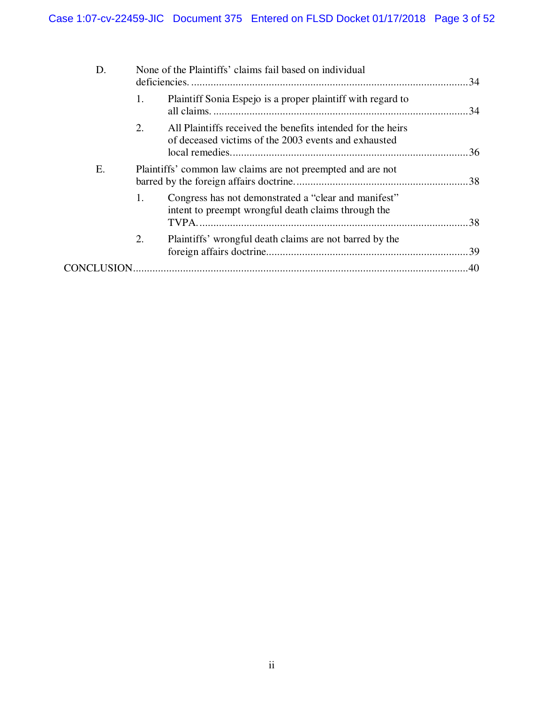| D. | None of the Plaintiffs' claims fail based on individual                                                                   |  |
|----|---------------------------------------------------------------------------------------------------------------------------|--|
|    | Plaintiff Sonia Espejo is a proper plaintiff with regard to<br>1.                                                         |  |
|    | 2.<br>All Plaintiffs received the benefits intended for the heirs<br>of deceased victims of the 2003 events and exhausted |  |
| Ε. | Plaintiffs' common law claims are not preempted and are not                                                               |  |
|    | Congress has not demonstrated a "clear and manifest"<br>1.<br>intent to preempt wrongful death claims through the         |  |
|    | 2.<br>Plaintiffs' wrongful death claims are not barred by the                                                             |  |
|    |                                                                                                                           |  |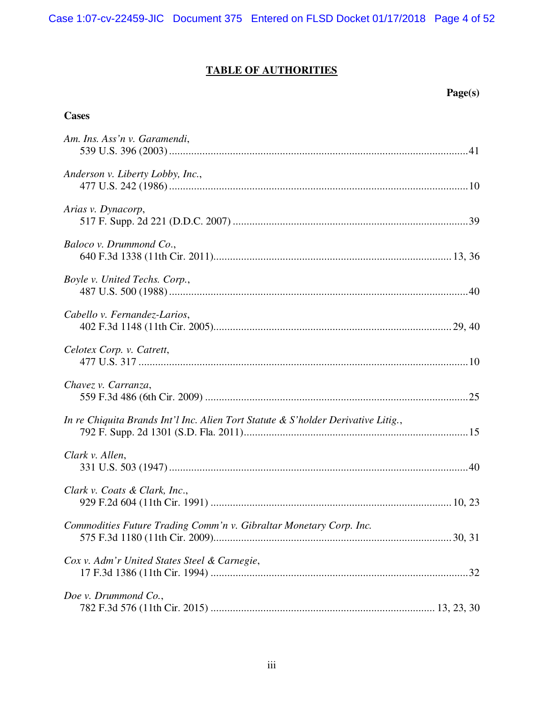Case 1:07-cv-22459-JIC Document 375 Entered on FLSD Docket 01/17/2018 Page 4 of 52

# **TABLE OF AUTHORITIES**

# **Page(s)**

# **Cases**

| Am. Ins. Ass'n v. Garamendi,                                                      |
|-----------------------------------------------------------------------------------|
| Anderson v. Liberty Lobby, Inc.,                                                  |
| Arias v. Dynacorp,                                                                |
| Baloco v. Drummond Co.,                                                           |
| Boyle v. United Techs. Corp.,                                                     |
| Cabello v. Fernandez-Larios,                                                      |
| Celotex Corp. v. Catrett,                                                         |
| Chavez v. Carranza,                                                               |
| In re Chiquita Brands Int'l Inc. Alien Tort Statute & S'holder Derivative Litig., |
| Clark v. Allen,                                                                   |
| Clark v. Coats & Clark, Inc.,                                                     |
| Commodities Future Trading Comm'n v. Gibraltar Monetary Corp. Inc.                |
| Cox v. Adm'r United States Steel & Carnegie,                                      |
| Doe v. Drummond Co.,                                                              |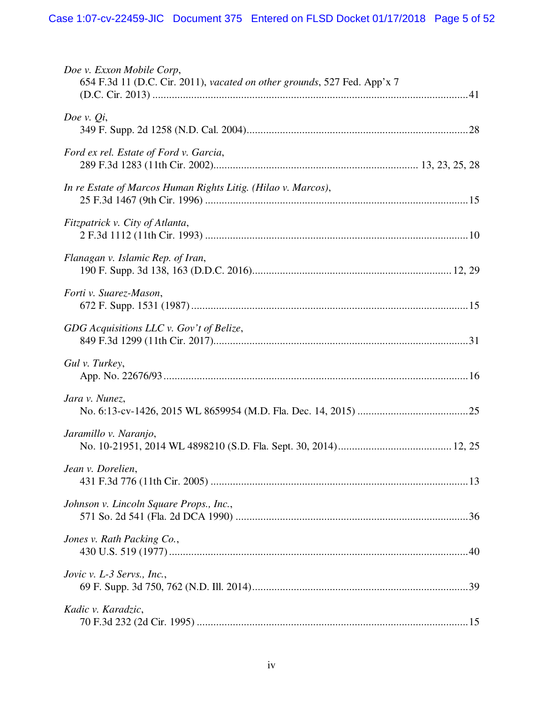| Doe v. Exxon Mobile Corp,<br>654 F.3d 11 (D.C. Cir. 2011), vacated on other grounds, 527 Fed. App'x 7 |
|-------------------------------------------------------------------------------------------------------|
| Doe v. $Q_i$ ,                                                                                        |
| Ford ex rel. Estate of Ford v. Garcia,                                                                |
| In re Estate of Marcos Human Rights Litig. (Hilao v. Marcos),                                         |
| Fitzpatrick v. City of Atlanta,                                                                       |
| Flanagan v. Islamic Rep. of Iran,                                                                     |
| Forti v. Suarez-Mason,                                                                                |
| GDG Acquisitions LLC v. Gov't of Belize,                                                              |
| Gul v. Turkey,                                                                                        |
| Jara v. Nunez,                                                                                        |
| Jaramillo v. Naranjo,                                                                                 |
| Jean v. Dorelien,                                                                                     |
| Johnson v. Lincoln Square Props., Inc.,                                                               |
| Jones v. Rath Packing Co.,                                                                            |
| Jovic v. L-3 Servs., Inc.,                                                                            |
| Kadic v. Karadzic,                                                                                    |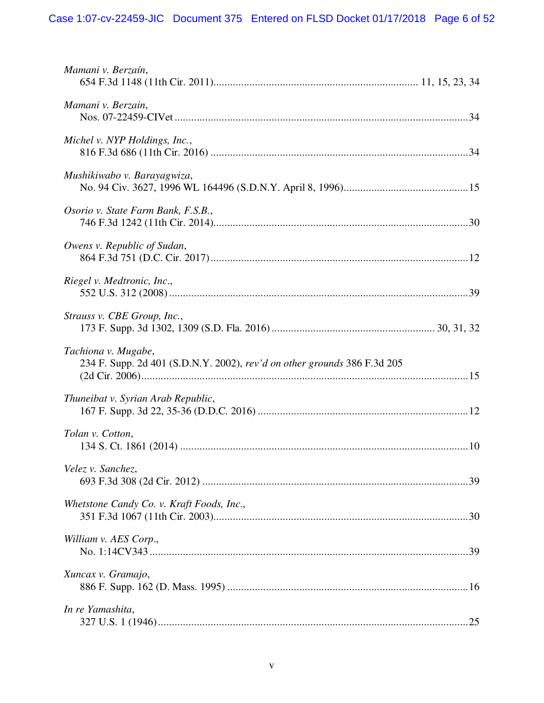| Mamani v. Berzaín,                                                                              |
|-------------------------------------------------------------------------------------------------|
| Mamani v. Berzain,                                                                              |
| Michel v. NYP Holdings, Inc.,                                                                   |
| Mushikiwabo v. Barayagwiza,                                                                     |
| Osorio v. State Farm Bank, F.S.B.,                                                              |
| Owens v. Republic of Sudan,                                                                     |
| Riegel v. Medtronic, Inc.,                                                                      |
| Strauss v. CBE Group, Inc.,                                                                     |
| Tachiona v. Mugabe,<br>234 F. Supp. 2d 401 (S.D.N.Y. 2002), rev'd on other grounds 386 F.3d 205 |
| Thuneibat v. Syrian Arab Republic,                                                              |
| Tolan v. Cotton,                                                                                |
| Velez v. Sanchez,                                                                               |
| Whetstone Candy Co. v. Kraft Foods, Inc.,                                                       |
| William v. AES Corp.,                                                                           |
| Xuncax v. Gramajo,                                                                              |
| In re Yamashita,                                                                                |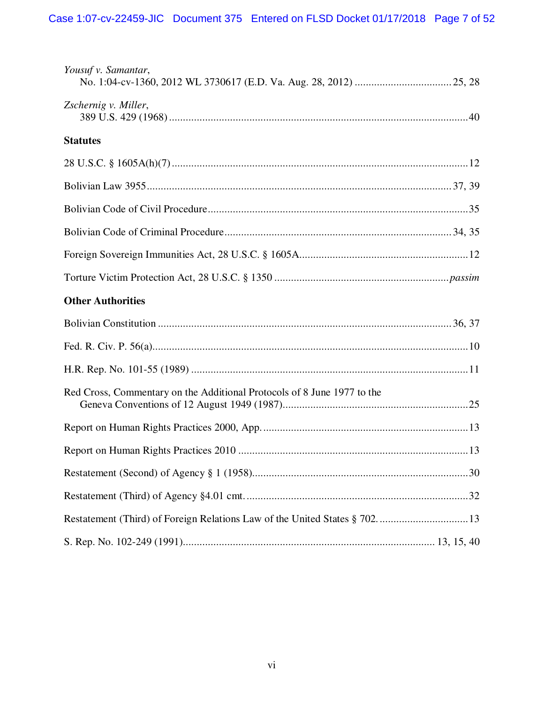| Yousuf v. Samantar,                                                     |  |
|-------------------------------------------------------------------------|--|
| Zschernig v. Miller,                                                    |  |
| <b>Statutes</b>                                                         |  |
|                                                                         |  |
|                                                                         |  |
|                                                                         |  |
|                                                                         |  |
|                                                                         |  |
|                                                                         |  |
| <b>Other Authorities</b>                                                |  |
|                                                                         |  |
|                                                                         |  |
|                                                                         |  |
| Red Cross, Commentary on the Additional Protocols of 8 June 1977 to the |  |
|                                                                         |  |
|                                                                         |  |
|                                                                         |  |
|                                                                         |  |
|                                                                         |  |
|                                                                         |  |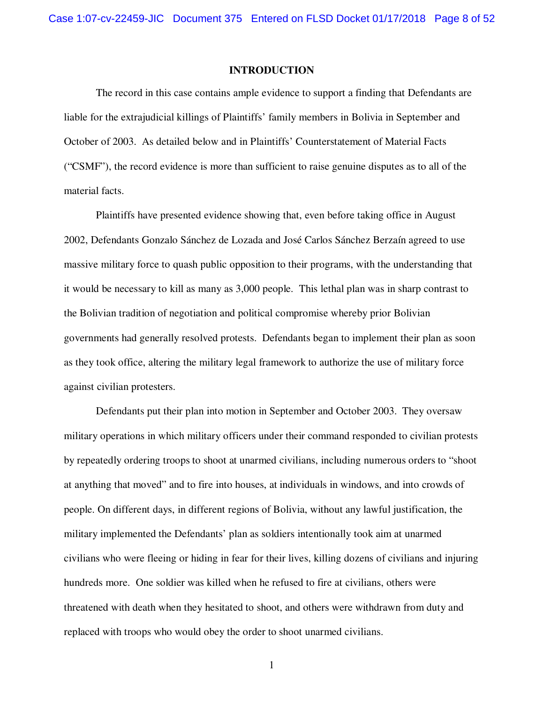#### **INTRODUCTION**

The record in this case contains ample evidence to support a finding that Defendants are liable for the extrajudicial killings of Plaintiffs' family members in Bolivia in September and October of 2003. As detailed below and in Plaintiffs' Counterstatement of Material Facts ("CSMF"), the record evidence is more than sufficient to raise genuine disputes as to all of the material facts.

Plaintiffs have presented evidence showing that, even before taking office in August 2002, Defendants Gonzalo Sánchez de Lozada and José Carlos Sánchez Berzaín agreed to use massive military force to quash public opposition to their programs, with the understanding that it would be necessary to kill as many as 3,000 people. This lethal plan was in sharp contrast to the Bolivian tradition of negotiation and political compromise whereby prior Bolivian governments had generally resolved protests. Defendants began to implement their plan as soon as they took office, altering the military legal framework to authorize the use of military force against civilian protesters.

Defendants put their plan into motion in September and October 2003. They oversaw military operations in which military officers under their command responded to civilian protests by repeatedly ordering troops to shoot at unarmed civilians, including numerous orders to "shoot at anything that moved" and to fire into houses, at individuals in windows, and into crowds of people. On different days, in different regions of Bolivia, without any lawful justification, the military implemented the Defendants' plan as soldiers intentionally took aim at unarmed civilians who were fleeing or hiding in fear for their lives, killing dozens of civilians and injuring hundreds more. One soldier was killed when he refused to fire at civilians, others were threatened with death when they hesitated to shoot, and others were withdrawn from duty and replaced with troops who would obey the order to shoot unarmed civilians.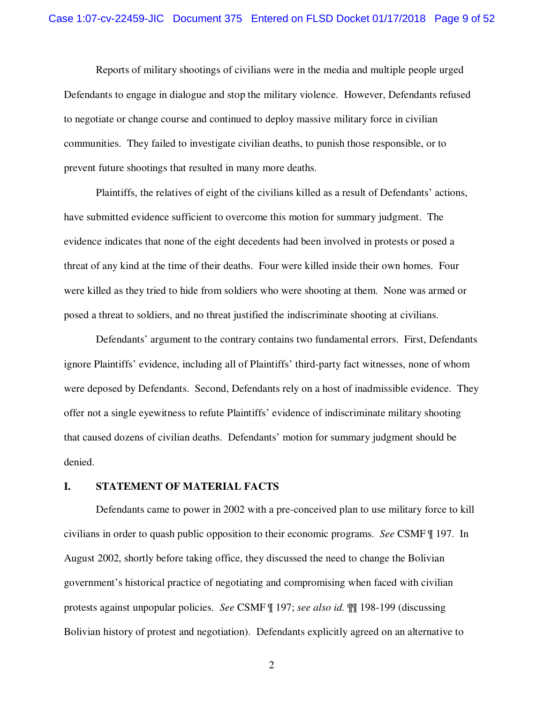Reports of military shootings of civilians were in the media and multiple people urged Defendants to engage in dialogue and stop the military violence. However, Defendants refused to negotiate or change course and continued to deploy massive military force in civilian communities. They failed to investigate civilian deaths, to punish those responsible, or to prevent future shootings that resulted in many more deaths.

Plaintiffs, the relatives of eight of the civilians killed as a result of Defendants' actions, have submitted evidence sufficient to overcome this motion for summary judgment. The evidence indicates that none of the eight decedents had been involved in protests or posed a threat of any kind at the time of their deaths. Four were killed inside their own homes. Four were killed as they tried to hide from soldiers who were shooting at them. None was armed or posed a threat to soldiers, and no threat justified the indiscriminate shooting at civilians.

Defendants' argument to the contrary contains two fundamental errors. First, Defendants ignore Plaintiffs' evidence, including all of Plaintiffs' third-party fact witnesses, none of whom were deposed by Defendants. Second, Defendants rely on a host of inadmissible evidence. They offer not a single eyewitness to refute Plaintiffs' evidence of indiscriminate military shooting that caused dozens of civilian deaths. Defendants' motion for summary judgment should be denied.

#### **I. STATEMENT OF MATERIAL FACTS**

Defendants came to power in 2002 with a pre-conceived plan to use military force to kill civilians in order to quash public opposition to their economic programs. *See* CSMF ¶ 197. In August 2002, shortly before taking office, they discussed the need to change the Bolivian government's historical practice of negotiating and compromising when faced with civilian protests against unpopular policies. *See* CSMF ¶ 197; *see also id.* ¶¶ 198-199 (discussing Bolivian history of protest and negotiation). Defendants explicitly agreed on an alternative to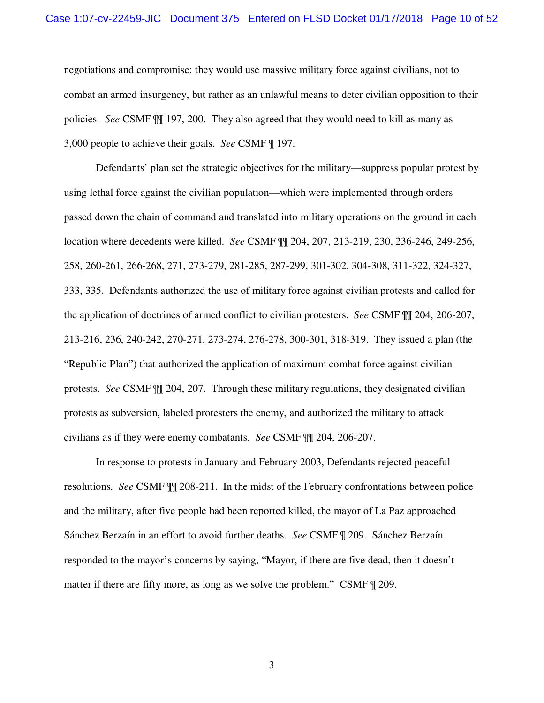negotiations and compromise: they would use massive military force against civilians, not to combat an armed insurgency, but rather as an unlawful means to deter civilian opposition to their policies. *See* CSMF ¶¶ 197, 200. They also agreed that they would need to kill as many as 3,000 people to achieve their goals. *See* CSMF ¶ 197.

Defendants' plan set the strategic objectives for the military—suppress popular protest by using lethal force against the civilian population—which were implemented through orders passed down the chain of command and translated into military operations on the ground in each location where decedents were killed. *See* CSMF ¶¶ 204, 207, 213-219, 230, 236-246, 249-256, 258, 260-261, 266-268, 271, 273-279, 281-285, 287-299, 301-302, 304-308, 311-322, 324-327, 333, 335. Defendants authorized the use of military force against civilian protests and called for the application of doctrines of armed conflict to civilian protesters. *See* CSMF ¶¶ 204, 206-207, 213-216, 236, 240-242, 270-271, 273-274, 276-278, 300-301, 318-319. They issued a plan (the "Republic Plan") that authorized the application of maximum combat force against civilian protests. *See* CSMF ¶¶ 204, 207. Through these military regulations, they designated civilian protests as subversion, labeled protesters the enemy, and authorized the military to attack civilians as if they were enemy combatants. *See* CSMF ¶¶ 204, 206-207.

In response to protests in January and February 2003, Defendants rejected peaceful resolutions. *See* CSMF ¶¶ 208-211. In the midst of the February confrontations between police and the military, after five people had been reported killed, the mayor of La Paz approached Sánchez Berzaín in an effort to avoid further deaths. *See* CSMF ¶ 209. Sánchez Berzaín responded to the mayor's concerns by saying, "Mayor, if there are five dead, then it doesn't matter if there are fifty more, as long as we solve the problem." CSMF  $\parallel$  209.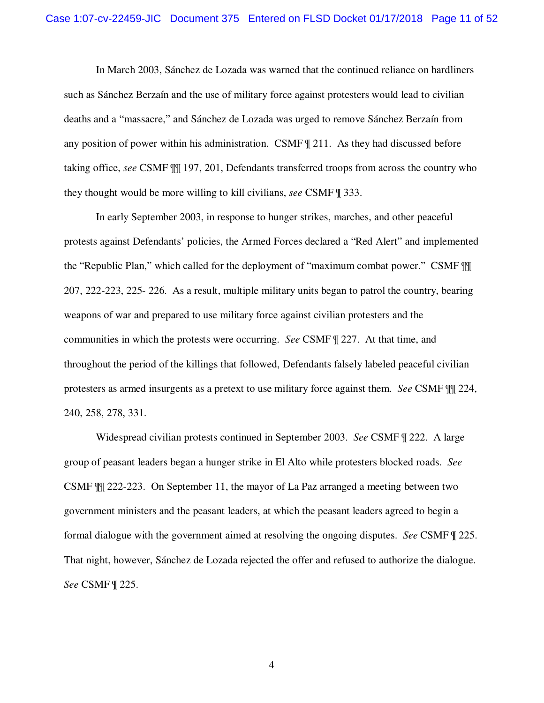In March 2003, Sánchez de Lozada was warned that the continued reliance on hardliners such as Sánchez Berzaín and the use of military force against protesters would lead to civilian deaths and a "massacre," and Sánchez de Lozada was urged to remove Sánchez Berzaín from any position of power within his administration. CSMF ¶ 211. As they had discussed before taking office, *see* CSMF ¶¶ 197, 201, Defendants transferred troops from across the country who they thought would be more willing to kill civilians, *see* CSMF ¶ 333.

In early September 2003, in response to hunger strikes, marches, and other peaceful protests against Defendants' policies, the Armed Forces declared a "Red Alert" and implemented the "Republic Plan," which called for the deployment of "maximum combat power." CSMF ¶¶ 207, 222-223, 225- 226. As a result, multiple military units began to patrol the country, bearing weapons of war and prepared to use military force against civilian protesters and the communities in which the protests were occurring. *See* CSMF ¶ 227. At that time, and throughout the period of the killings that followed, Defendants falsely labeled peaceful civilian protesters as armed insurgents as a pretext to use military force against them. *See* CSMF ¶¶ 224, 240, 258, 278, 331.

Widespread civilian protests continued in September 2003. *See* CSMF ¶ 222. A large group of peasant leaders began a hunger strike in El Alto while protesters blocked roads. *See* CSMF ¶¶ 222-223. On September 11, the mayor of La Paz arranged a meeting between two government ministers and the peasant leaders, at which the peasant leaders agreed to begin a formal dialogue with the government aimed at resolving the ongoing disputes. *See* CSMF ¶ 225. That night, however, Sánchez de Lozada rejected the offer and refused to authorize the dialogue. *See* CSMF ¶ 225.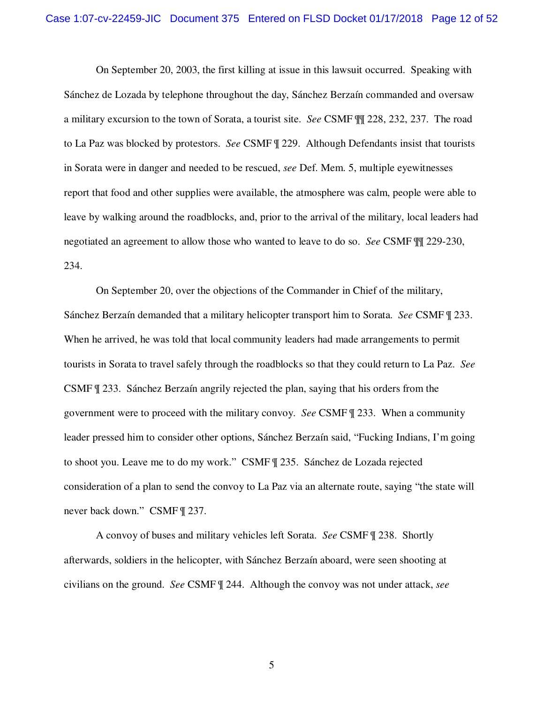On September 20, 2003, the first killing at issue in this lawsuit occurred. Speaking with Sánchez de Lozada by telephone throughout the day, Sánchez Berzaín commanded and oversaw a military excursion to the town of Sorata, a tourist site. *See* CSMF ¶¶ 228, 232, 237. The road to La Paz was blocked by protestors. *See* CSMF ¶ 229. Although Defendants insist that tourists in Sorata were in danger and needed to be rescued, *see* Def. Mem. 5, multiple eyewitnesses report that food and other supplies were available, the atmosphere was calm, people were able to leave by walking around the roadblocks, and, prior to the arrival of the military, local leaders had negotiated an agreement to allow those who wanted to leave to do so. *See* CSMF ¶¶ 229-230, 234.

On September 20, over the objections of the Commander in Chief of the military, Sánchez Berzaín demanded that a military helicopter transport him to Sorata. *See* CSMF ¶ 233. When he arrived, he was told that local community leaders had made arrangements to permit tourists in Sorata to travel safely through the roadblocks so that they could return to La Paz. *See* CSMF ¶ 233. Sánchez Berzaín angrily rejected the plan, saying that his orders from the government were to proceed with the military convoy. *See* CSMF ¶ 233. When a community leader pressed him to consider other options, Sánchez Berzaín said, "Fucking Indians, I'm going to shoot you. Leave me to do my work." CSMF ¶ 235. Sánchez de Lozada rejected consideration of a plan to send the convoy to La Paz via an alternate route, saying "the state will never back down." CSMF ¶ 237.

A convoy of buses and military vehicles left Sorata. *See* CSMF ¶ 238. Shortly afterwards, soldiers in the helicopter, with Sánchez Berzaín aboard, were seen shooting at civilians on the ground. *See* CSMF ¶ 244. Although the convoy was not under attack, *see*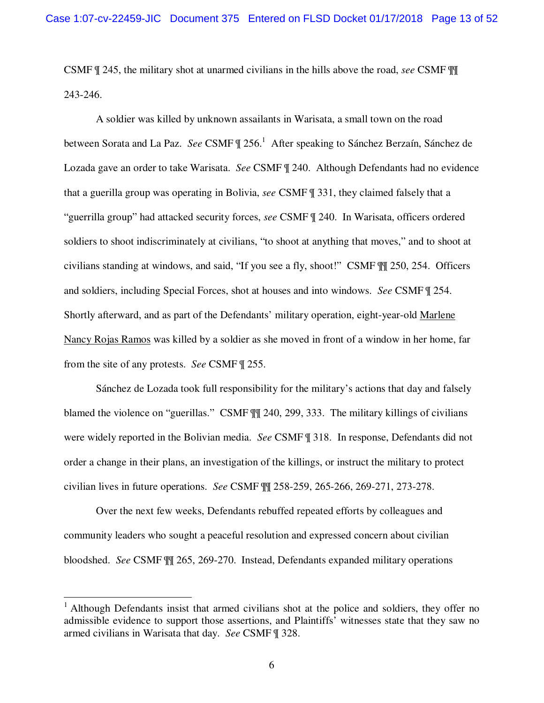CSMF ¶ 245, the military shot at unarmed civilians in the hills above the road, *see* CSMF ¶¶ 243-246.

A soldier was killed by unknown assailants in Warisata, a small town on the road between Sorata and La Paz. See CSMF  $\parallel$  256.<sup>1</sup> After speaking to Sánchez Berzaín, Sánchez de Lozada gave an order to take Warisata. *See* CSMF ¶ 240. Although Defendants had no evidence that a guerilla group was operating in Bolivia, *see* CSMF ¶ 331, they claimed falsely that a "guerrilla group" had attacked security forces, *see* CSMF ¶ 240. In Warisata, officers ordered soldiers to shoot indiscriminately at civilians, "to shoot at anything that moves," and to shoot at civilians standing at windows, and said, "If you see a fly, shoot!" CSMF ¶¶ 250, 254. Officers and soldiers, including Special Forces, shot at houses and into windows. *See* CSMF ¶ 254. Shortly afterward, and as part of the Defendants' military operation, eight-year-old Marlene Nancy Rojas Ramos was killed by a soldier as she moved in front of a window in her home, far from the site of any protests. *See* CSMF ¶ 255.

Sánchez de Lozada took full responsibility for the military's actions that day and falsely blamed the violence on "guerillas." CSMF  $\mathbb{II}$  240, 299, 333. The military killings of civilians were widely reported in the Bolivian media. *See* CSMF ¶ 318. In response, Defendants did not order a change in their plans, an investigation of the killings, or instruct the military to protect civilian lives in future operations. *See* CSMF ¶¶ 258-259, 265-266, 269-271, 273-278.

Over the next few weeks, Defendants rebuffed repeated efforts by colleagues and community leaders who sought a peaceful resolution and expressed concern about civilian bloodshed. *See* CSMF ¶¶ 265, 269-270. Instead, Defendants expanded military operations

<sup>&</sup>lt;sup>1</sup> Although Defendants insist that armed civilians shot at the police and soldiers, they offer no admissible evidence to support those assertions, and Plaintiffs' witnesses state that they saw no armed civilians in Warisata that day. *See* CSMF ¶ 328.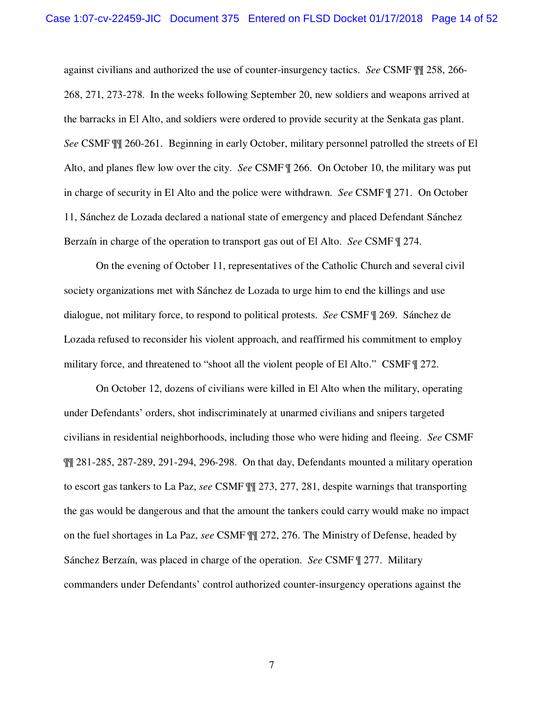against civilians and authorized the use of counter-insurgency tactics. *See* CSMF ¶¶ 258, 266- 268, 271, 273-278. In the weeks following September 20, new soldiers and weapons arrived at the barracks in El Alto, and soldiers were ordered to provide security at the Senkata gas plant. *See* CSMF ¶¶ 260-261. Beginning in early October, military personnel patrolled the streets of El Alto, and planes flew low over the city. *See* CSMF ¶ 266. On October 10, the military was put in charge of security in El Alto and the police were withdrawn. *See* CSMF ¶ 271. On October 11, Sánchez de Lozada declared a national state of emergency and placed Defendant Sánchez Berzaín in charge of the operation to transport gas out of El Alto. *See* CSMF ¶ 274.

On the evening of October 11, representatives of the Catholic Church and several civil society organizations met with Sánchez de Lozada to urge him to end the killings and use dialogue, not military force, to respond to political protests. *See* CSMF ¶ 269. Sánchez de Lozada refused to reconsider his violent approach, and reaffirmed his commitment to employ military force, and threatened to "shoot all the violent people of El Alto." CSMF  $\parallel$  272.

On October 12, dozens of civilians were killed in El Alto when the military, operating under Defendants' orders, shot indiscriminately at unarmed civilians and snipers targeted civilians in residential neighborhoods, including those who were hiding and fleeing. *See* CSMF ¶¶ 281-285, 287-289, 291-294, 296-298. On that day, Defendants mounted a military operation to escort gas tankers to La Paz, *see* CSMF ¶¶ 273, 277, 281, despite warnings that transporting the gas would be dangerous and that the amount the tankers could carry would make no impact on the fuel shortages in La Paz, *see* CSMF ¶¶ 272, 276. The Ministry of Defense, headed by Sánchez Berzaín, was placed in charge of the operation. *See* CSMF ¶ 277. Military commanders under Defendants' control authorized counter-insurgency operations against the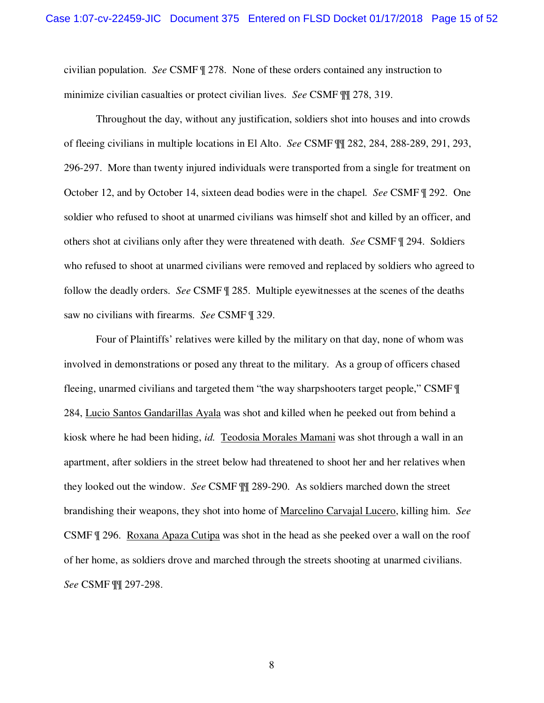civilian population. *See* CSMF ¶ 278. None of these orders contained any instruction to minimize civilian casualties or protect civilian lives. *See* CSMF ¶¶ 278, 319.

Throughout the day, without any justification, soldiers shot into houses and into crowds of fleeing civilians in multiple locations in El Alto. *See* CSMF ¶¶ 282, 284, 288-289, 291, 293, 296-297. More than twenty injured individuals were transported from a single for treatment on October 12, and by October 14, sixteen dead bodies were in the chapel. *See* CSMF ¶ 292. One soldier who refused to shoot at unarmed civilians was himself shot and killed by an officer, and others shot at civilians only after they were threatened with death. *See* CSMF ¶ 294. Soldiers who refused to shoot at unarmed civilians were removed and replaced by soldiers who agreed to follow the deadly orders. *See* CSMF ¶ 285. Multiple eyewitnesses at the scenes of the deaths saw no civilians with firearms. *See* CSMF ¶ 329.

Four of Plaintiffs' relatives were killed by the military on that day, none of whom was involved in demonstrations or posed any threat to the military. As a group of officers chased fleeing, unarmed civilians and targeted them "the way sharpshooters target people," CSMF ¶ 284, Lucio Santos Gandarillas Ayala was shot and killed when he peeked out from behind a kiosk where he had been hiding, *id.* Teodosia Morales Mamani was shot through a wall in an apartment, after soldiers in the street below had threatened to shoot her and her relatives when they looked out the window. *See* CSMF ¶¶ 289-290. As soldiers marched down the street brandishing their weapons, they shot into home of Marcelino Carvajal Lucero, killing him. *See* CSMF ¶ 296. Roxana Apaza Cutipa was shot in the head as she peeked over a wall on the roof of her home, as soldiers drove and marched through the streets shooting at unarmed civilians. *See* CSMF ¶¶ 297-298.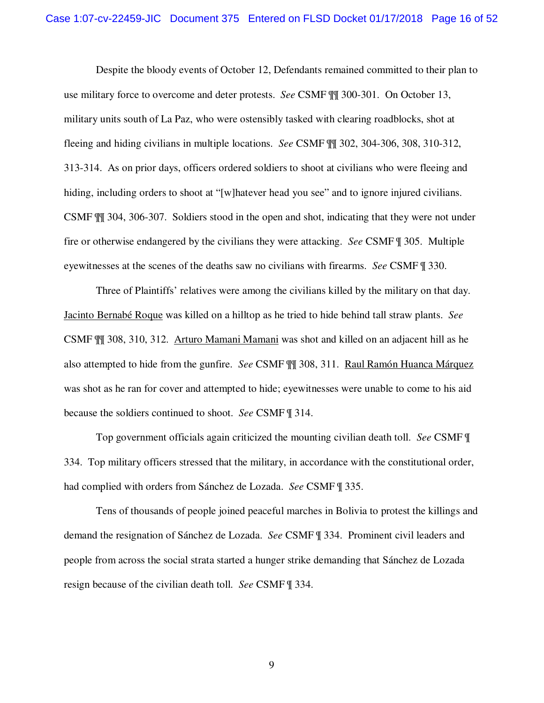Despite the bloody events of October 12, Defendants remained committed to their plan to use military force to overcome and deter protests. *See* CSMF ¶¶ 300-301. On October 13, military units south of La Paz, who were ostensibly tasked with clearing roadblocks, shot at fleeing and hiding civilians in multiple locations. *See* CSMF ¶¶ 302, 304-306, 308, 310-312, 313-314. As on prior days, officers ordered soldiers to shoot at civilians who were fleeing and hiding, including orders to shoot at "[w]hatever head you see" and to ignore injured civilians. CSMF ¶¶ 304, 306-307. Soldiers stood in the open and shot, indicating that they were not under fire or otherwise endangered by the civilians they were attacking. *See* CSMF ¶ 305. Multiple eyewitnesses at the scenes of the deaths saw no civilians with firearms. *See* CSMF ¶ 330.

Three of Plaintiffs' relatives were among the civilians killed by the military on that day. Jacinto Bernabé Roque was killed on a hilltop as he tried to hide behind tall straw plants. *See* CSMF ¶¶ 308, 310, 312. Arturo Mamani Mamani was shot and killed on an adjacent hill as he also attempted to hide from the gunfire. *See* CSMF ¶¶ 308, 311. Raul Ramón Huanca Márquez was shot as he ran for cover and attempted to hide; eyewitnesses were unable to come to his aid because the soldiers continued to shoot. *See* CSMF ¶ 314.

Top government officials again criticized the mounting civilian death toll. *See* CSMF ¶ 334. Top military officers stressed that the military, in accordance with the constitutional order, had complied with orders from Sánchez de Lozada. *See* CSMF ¶ 335.

Tens of thousands of people joined peaceful marches in Bolivia to protest the killings and demand the resignation of Sánchez de Lozada. *See* CSMF ¶ 334. Prominent civil leaders and people from across the social strata started a hunger strike demanding that Sánchez de Lozada resign because of the civilian death toll. *See* CSMF ¶ 334.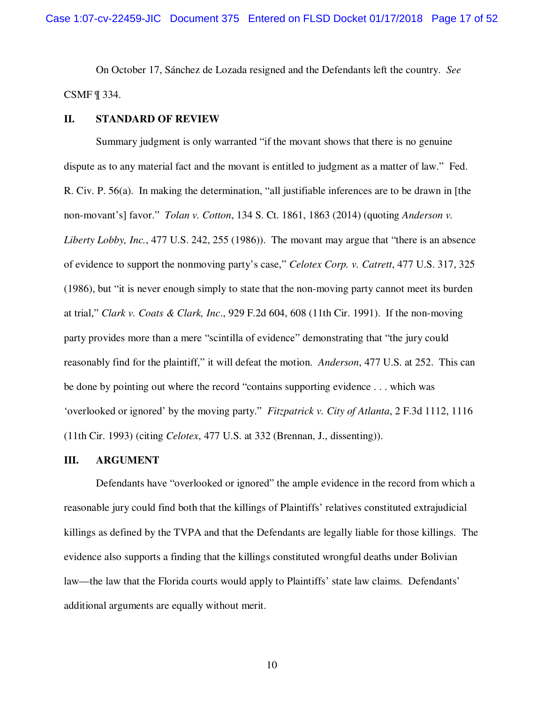On October 17, Sánchez de Lozada resigned and the Defendants left the country. *See* CSMF ¶ 334.

#### **II. STANDARD OF REVIEW**

Summary judgment is only warranted "if the movant shows that there is no genuine dispute as to any material fact and the movant is entitled to judgment as a matter of law." Fed. R. Civ. P. 56(a). In making the determination, "all justifiable inferences are to be drawn in [the non-movant's] favor." *Tolan v. Cotton*, 134 S. Ct. 1861, 1863 (2014) (quoting *Anderson v. Liberty Lobby, Inc.*, 477 U.S. 242, 255 (1986)). The movant may argue that "there is an absence of evidence to support the nonmoving party's case," *Celotex Corp. v. Catrett*, 477 U.S. 317, 325 (1986), but "it is never enough simply to state that the non-moving party cannot meet its burden at trial," *Clark v. Coats & Clark, Inc*., 929 F.2d 604, 608 (11th Cir. 1991). If the non-moving party provides more than a mere "scintilla of evidence" demonstrating that "the jury could reasonably find for the plaintiff," it will defeat the motion. *Anderson*, 477 U.S. at 252. This can be done by pointing out where the record "contains supporting evidence . . . which was 'overlooked or ignored' by the moving party." *Fitzpatrick v. City of Atlanta*, 2 F.3d 1112, 1116 (11th Cir. 1993) (citing *Celotex*, 477 U.S. at 332 (Brennan, J., dissenting)).

#### **III. ARGUMENT**

Defendants have "overlooked or ignored" the ample evidence in the record from which a reasonable jury could find both that the killings of Plaintiffs' relatives constituted extrajudicial killings as defined by the TVPA and that the Defendants are legally liable for those killings. The evidence also supports a finding that the killings constituted wrongful deaths under Bolivian law—the law that the Florida courts would apply to Plaintiffs' state law claims. Defendants' additional arguments are equally without merit.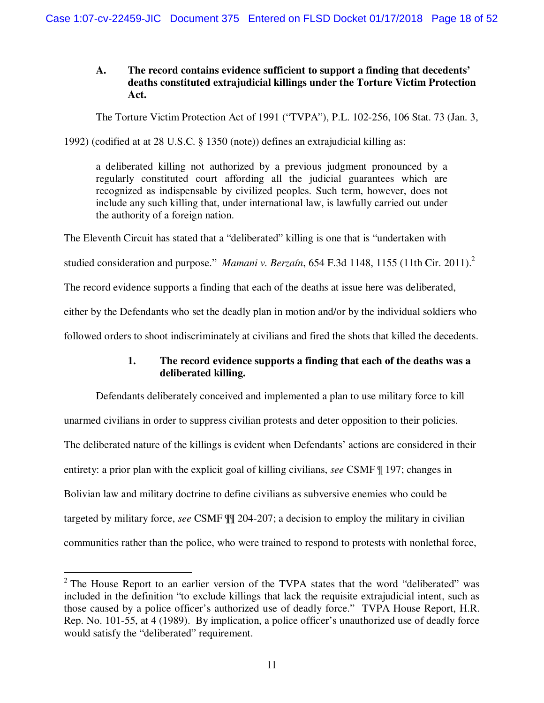# **A. The record contains evidence sufficient to support a finding that decedents' deaths constituted extrajudicial killings under the Torture Victim Protection Act.**

The Torture Victim Protection Act of 1991 ("TVPA"), P.L. 102-256, 106 Stat. 73 (Jan. 3,

1992) (codified at at 28 U.S.C. § 1350 (note)) defines an extrajudicial killing as:

a deliberated killing not authorized by a previous judgment pronounced by a regularly constituted court affording all the judicial guarantees which are recognized as indispensable by civilized peoples. Such term, however, does not include any such killing that, under international law, is lawfully carried out under the authority of a foreign nation.

The Eleventh Circuit has stated that a "deliberated" killing is one that is "undertaken with

studied consideration and purpose." *Mamani v. Berzaín*, 654 F.3d 1148, 1155 (11th Cir. 2011).<sup>2</sup>

The record evidence supports a finding that each of the deaths at issue here was deliberated,

either by the Defendants who set the deadly plan in motion and/or by the individual soldiers who

followed orders to shoot indiscriminately at civilians and fired the shots that killed the decedents.

# **1. The record evidence supports a finding that each of the deaths was a deliberated killing.**

Defendants deliberately conceived and implemented a plan to use military force to kill unarmed civilians in order to suppress civilian protests and deter opposition to their policies. The deliberated nature of the killings is evident when Defendants' actions are considered in their entirety: a prior plan with the explicit goal of killing civilians, *see* CSMF ¶ 197; changes in Bolivian law and military doctrine to define civilians as subversive enemies who could be targeted by military force, *see* CSMF ¶¶ 204-207; a decision to employ the military in civilian communities rather than the police, who were trained to respond to protests with nonlethal force,

<sup>&</sup>lt;sup>2</sup> The House Report to an earlier version of the TVPA states that the word "deliberated" was included in the definition "to exclude killings that lack the requisite extrajudicial intent, such as those caused by a police officer's authorized use of deadly force." TVPA House Report, H.R. Rep. No. 101-55, at 4 (1989). By implication, a police officer's unauthorized use of deadly force would satisfy the "deliberated" requirement.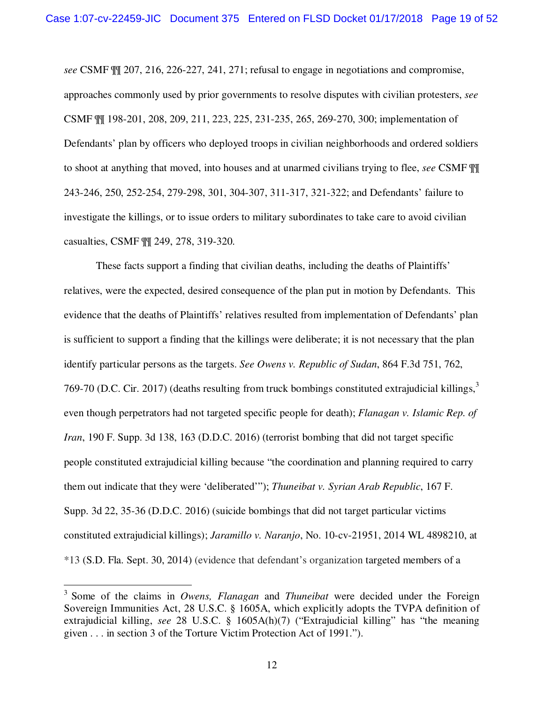*see* CSMF ¶¶ 207, 216, 226-227, 241, 271; refusal to engage in negotiations and compromise, approaches commonly used by prior governments to resolve disputes with civilian protesters, *see* CSMF ¶¶ 198-201, 208, 209, 211, 223, 225, 231-235, 265, 269-270, 300; implementation of Defendants' plan by officers who deployed troops in civilian neighborhoods and ordered soldiers to shoot at anything that moved, into houses and at unarmed civilians trying to flee, *see* CSMF ¶¶ 243-246, 250, 252-254, 279-298, 301, 304-307, 311-317, 321-322; and Defendants' failure to investigate the killings, or to issue orders to military subordinates to take care to avoid civilian casualties, CSMF ¶¶ 249, 278, 319-320.

These facts support a finding that civilian deaths, including the deaths of Plaintiffs' relatives, were the expected, desired consequence of the plan put in motion by Defendants. This evidence that the deaths of Plaintiffs' relatives resulted from implementation of Defendants' plan is sufficient to support a finding that the killings were deliberate; it is not necessary that the plan identify particular persons as the targets. *See Owens v. Republic of Sudan*, 864 F.3d 751, 762, 769-70 (D.C. Cir. 2017) (deaths resulting from truck bombings constituted extrajudicial killings, $3$ even though perpetrators had not targeted specific people for death); *Flanagan v. Islamic Rep. of Iran*, 190 F. Supp. 3d 138, 163 (D.D.C. 2016) (terrorist bombing that did not target specific people constituted extrajudicial killing because "the coordination and planning required to carry them out indicate that they were 'deliberated'"); *Thuneibat v. Syrian Arab Republic*, 167 F. Supp. 3d 22, 35-36 (D.D.C. 2016) (suicide bombings that did not target particular victims constituted extrajudicial killings); *Jaramillo v. Naranjo*, No. 10-cv-21951, 2014 WL 4898210, at \*13 (S.D. Fla. Sept. 30, 2014) (evidence that defendant's organization targeted members of a

<sup>&</sup>lt;sup>3</sup> Some of the claims in *Owens, Flanagan* and *Thuneibat* were decided under the Foreign Sovereign Immunities Act, 28 U.S.C. § 1605A, which explicitly adopts the TVPA definition of extrajudicial killing, *see* 28 U.S.C. § 1605A(h)(7) ("Extrajudicial killing" has "the meaning given . . . in section 3 of the Torture Victim Protection Act of 1991.").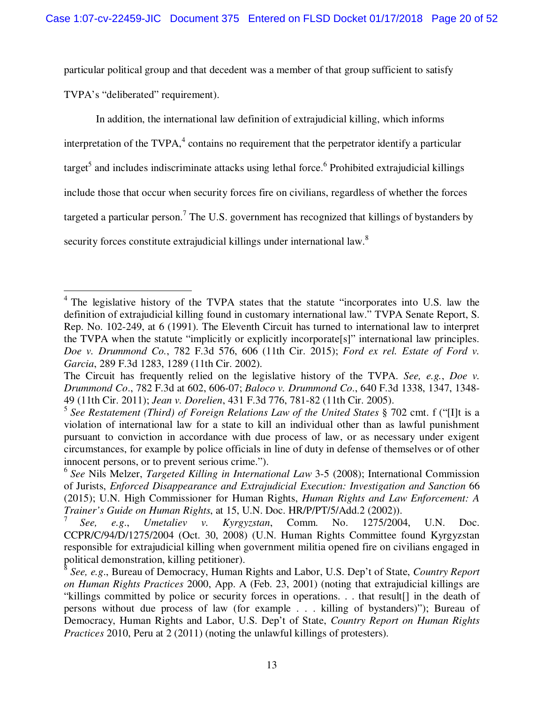particular political group and that decedent was a member of that group sufficient to satisfy TVPA's "deliberated" requirement).

In addition, the international law definition of extrajudicial killing, which informs interpretation of the  $TVPA$ ,  $4$  contains no requirement that the perpetrator identify a particular target<sup>5</sup> and includes indiscriminate attacks using lethal force.<sup>6</sup> Prohibited extrajudicial killings include those that occur when security forces fire on civilians, regardless of whether the forces targeted a particular person.<sup>7</sup> The U.S. government has recognized that killings of bystanders by security forces constitute extrajudicial killings under international law.<sup>8</sup>

 $\overline{a}$ 

<sup>&</sup>lt;sup>4</sup> The legislative history of the TVPA states that the statute "incorporates into U.S. law the definition of extrajudicial killing found in customary international law." TVPA Senate Report, S. Rep. No. 102-249, at 6 (1991). The Eleventh Circuit has turned to international law to interpret the TVPA when the statute "implicitly or explicitly incorporate[s]" international law principles. *Doe v. Drummond Co.*, 782 F.3d 576, 606 (11th Cir. 2015); *Ford ex rel. Estate of Ford v. Garcia*, 289 F.3d 1283, 1289 (11th Cir. 2002).

The Circuit has frequently relied on the legislative history of the TVPA. *See, e.g.*, *Doe v. Drummond Co*., 782 F.3d at 602, 606-07; *Baloco v. Drummond Co*., 640 F.3d 1338, 1347, 1348- 49 (11th Cir. 2011); *Jean v. Dorelien*, 431 F.3d 776, 781-82 (11th Cir. 2005).

<sup>5</sup> *See Restatement (Third) of Foreign Relations Law of the United States* § 702 cmt. f ("[I]t is a violation of international law for a state to kill an individual other than as lawful punishment pursuant to conviction in accordance with due process of law, or as necessary under exigent circumstances, for example by police officials in line of duty in defense of themselves or of other innocent persons, or to prevent serious crime.").

<sup>6</sup> *See* Nils Melzer, *Targeted Killing in International Law* 3-5 (2008); International Commission of Jurists, *Enforced Disappearance and Extrajudicial Execution: Investigation and Sanction* 66 (2015); U.N. High Commissioner for Human Rights, *Human Rights and Law Enforcement: A Trainer's Guide on Human Rights*, at 15, U.N. Doc. HR/P/PT/5/Add.2 (2002)).

<sup>7</sup> *See, e.g*., *Umetaliev v. Kyrgyzstan*, Comm. No. 1275/2004, U.N. Doc. CCPR/C/94/D/1275/2004 (Oct. 30, 2008) (U.N. Human Rights Committee found Kyrgyzstan responsible for extrajudicial killing when government militia opened fire on civilians engaged in political demonstration, killing petitioner).

<sup>8</sup> *See, e.g*., Bureau of Democracy, Human Rights and Labor, U.S. Dep't of State, *Country Report on Human Rights Practices* 2000, App. A (Feb. 23, 2001) (noting that extrajudicial killings are "killings committed by police or security forces in operations. . . that result[] in the death of persons without due process of law (for example . . . killing of bystanders)"); Bureau of Democracy, Human Rights and Labor, U.S. Dep't of State, *Country Report on Human Rights Practices* 2010, Peru at 2 (2011) (noting the unlawful killings of protesters).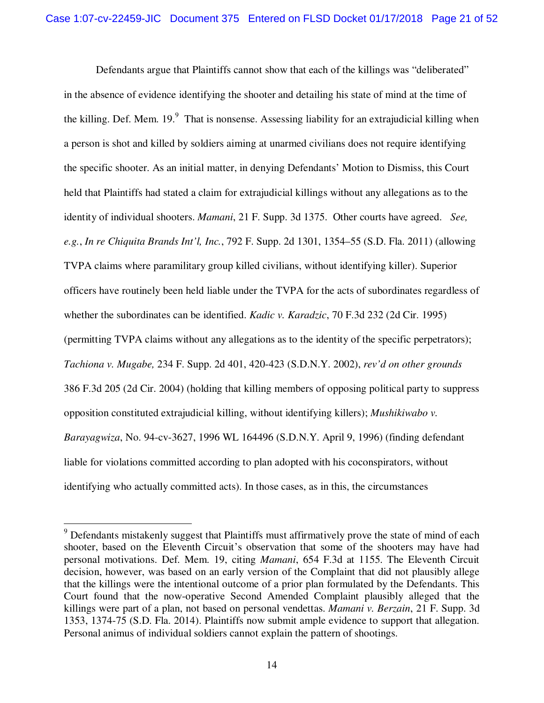Defendants argue that Plaintiffs cannot show that each of the killings was "deliberated" in the absence of evidence identifying the shooter and detailing his state of mind at the time of the killing. Def. Mem.  $19.9$  That is nonsense. Assessing liability for an extrajudicial killing when a person is shot and killed by soldiers aiming at unarmed civilians does not require identifying the specific shooter. As an initial matter, in denying Defendants' Motion to Dismiss, this Court held that Plaintiffs had stated a claim for extrajudicial killings without any allegations as to the identity of individual shooters. *Mamani*, 21 F. Supp. 3d 1375. Other courts have agreed. *See, e.g.*, *In re Chiquita Brands Int'l, Inc.*, 792 F. Supp. 2d 1301, 1354–55 (S.D. Fla. 2011) (allowing TVPA claims where paramilitary group killed civilians, without identifying killer). Superior officers have routinely been held liable under the TVPA for the acts of subordinates regardless of whether the subordinates can be identified. *Kadic v. Karadzic*, 70 F.3d 232 (2d Cir. 1995) (permitting TVPA claims without any allegations as to the identity of the specific perpetrators); *Tachiona v. Mugabe,* 234 F. Supp. 2d 401, 420-423 (S.D.N.Y. 2002), *rev'd on other grounds*  386 F.3d 205 (2d Cir. 2004) (holding that killing members of opposing political party to suppress opposition constituted extrajudicial killing, without identifying killers); *Mushikiwabo v. Barayagwiza*, No. 94-cv-3627, 1996 WL 164496 (S.D.N.Y. April 9, 1996) (finding defendant liable for violations committed according to plan adopted with his coconspirators, without identifying who actually committed acts). In those cases, as in this, the circumstances

 $\overline{a}$ 

<sup>&</sup>lt;sup>9</sup> Defendants mistakenly suggest that Plaintiffs must affirmatively prove the state of mind of each shooter, based on the Eleventh Circuit's observation that some of the shooters may have had personal motivations. Def. Mem. 19, citing *Mamani*, 654 F.3d at 1155. The Eleventh Circuit decision, however, was based on an early version of the Complaint that did not plausibly allege that the killings were the intentional outcome of a prior plan formulated by the Defendants. This Court found that the now-operative Second Amended Complaint plausibly alleged that the killings were part of a plan, not based on personal vendettas. *Mamani v. Berzain*, 21 F. Supp. 3d 1353, 1374-75 (S.D. Fla. 2014). Plaintiffs now submit ample evidence to support that allegation. Personal animus of individual soldiers cannot explain the pattern of shootings.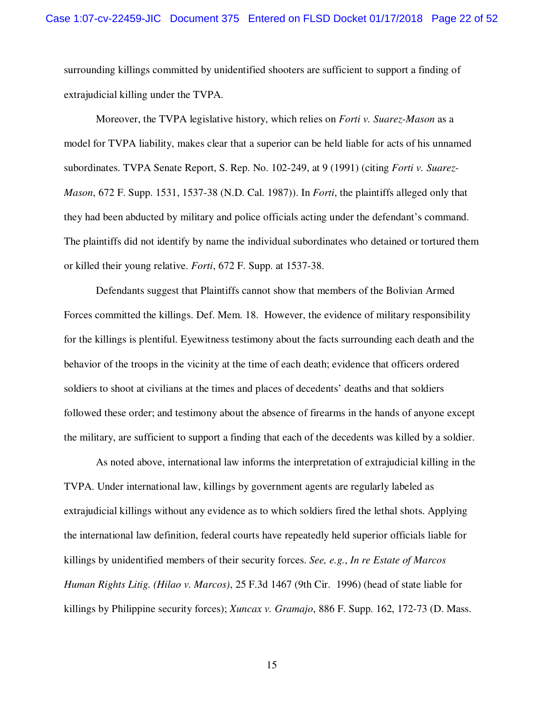surrounding killings committed by unidentified shooters are sufficient to support a finding of extrajudicial killing under the TVPA.

Moreover, the TVPA legislative history, which relies on *Forti v. Suarez-Mason* as a model for TVPA liability, makes clear that a superior can be held liable for acts of his unnamed subordinates. TVPA Senate Report, S. Rep. No. 102-249, at 9 (1991) (citing *Forti v. Suarez-Mason*, 672 F. Supp. 1531, 1537-38 (N.D. Cal. 1987)). In *Forti*, the plaintiffs alleged only that they had been abducted by military and police officials acting under the defendant's command. The plaintiffs did not identify by name the individual subordinates who detained or tortured them or killed their young relative. *Forti*, 672 F. Supp. at 1537-38.

Defendants suggest that Plaintiffs cannot show that members of the Bolivian Armed Forces committed the killings. Def. Mem. 18. However, the evidence of military responsibility for the killings is plentiful. Eyewitness testimony about the facts surrounding each death and the behavior of the troops in the vicinity at the time of each death; evidence that officers ordered soldiers to shoot at civilians at the times and places of decedents' deaths and that soldiers followed these order; and testimony about the absence of firearms in the hands of anyone except the military, are sufficient to support a finding that each of the decedents was killed by a soldier.

As noted above, international law informs the interpretation of extrajudicial killing in the TVPA. Under international law, killings by government agents are regularly labeled as extrajudicial killings without any evidence as to which soldiers fired the lethal shots. Applying the international law definition, federal courts have repeatedly held superior officials liable for killings by unidentified members of their security forces. *See, e.g.*, *In re Estate of Marcos Human Rights Litig. (Hilao v. Marcos)*, 25 F.3d 1467 (9th Cir. 1996) (head of state liable for killings by Philippine security forces); *Xuncax v. Gramajo*, 886 F. Supp. 162, 172-73 (D. Mass.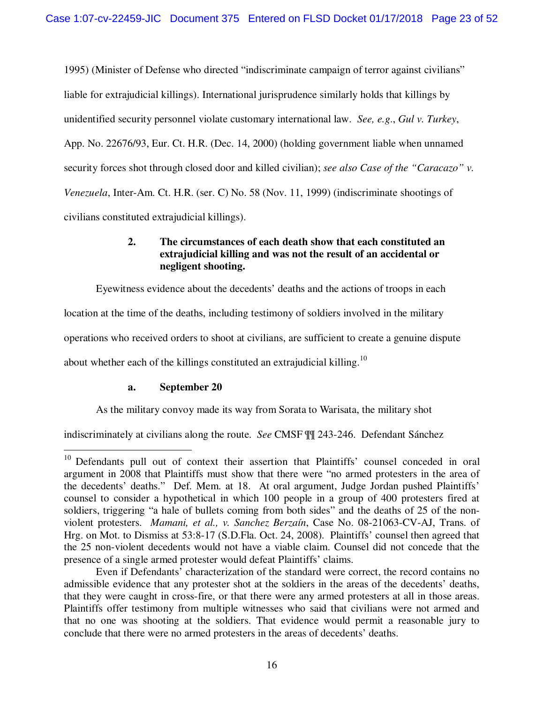1995) (Minister of Defense who directed "indiscriminate campaign of terror against civilians" liable for extrajudicial killings). International jurisprudence similarly holds that killings by unidentified security personnel violate customary international law. *See, e.g*., *Gul v. Turkey*, App. No. 22676/93, Eur. Ct. H.R. (Dec. 14, 2000) (holding government liable when unnamed security forces shot through closed door and killed civilian); *see also Case of the "Caracazo" v. Venezuela*, Inter-Am. Ct. H.R. (ser. C) No. 58 (Nov. 11, 1999) (indiscriminate shootings of civilians constituted extrajudicial killings).

# **2. The circumstances of each death show that each constituted an extrajudicial killing and was not the result of an accidental or negligent shooting.**

Eyewitness evidence about the decedents' deaths and the actions of troops in each

location at the time of the deaths, including testimony of soldiers involved in the military

operations who received orders to shoot at civilians, are sufficient to create a genuine dispute

about whether each of the killings constituted an extrajudicial killing.<sup>10</sup>

#### **a. September 20**

<u>.</u>

As the military convoy made its way from Sorata to Warisata, the military shot

indiscriminately at civilians along the route. *See* CMSF ¶¶ 243-246. Defendant Sánchez

<sup>&</sup>lt;sup>10</sup> Defendants pull out of context their assertion that Plaintiffs' counsel conceded in oral argument in 2008 that Plaintiffs must show that there were "no armed protesters in the area of the decedents' deaths." Def. Mem. at 18. At oral argument, Judge Jordan pushed Plaintiffs' counsel to consider a hypothetical in which 100 people in a group of 400 protesters fired at soldiers, triggering "a hale of bullets coming from both sides" and the deaths of 25 of the nonviolent protesters. *Mamani, et al., v. Sanchez Berzaín*, Case No. 08-21063-CV-AJ, Trans. of Hrg. on Mot. to Dismiss at 53:8-17 (S.D.Fla. Oct. 24, 2008). Plaintiffs' counsel then agreed that the 25 non-violent decedents would not have a viable claim. Counsel did not concede that the presence of a single armed protester would defeat Plaintiffs' claims.

Even if Defendants' characterization of the standard were correct, the record contains no admissible evidence that any protester shot at the soldiers in the areas of the decedents' deaths, that they were caught in cross-fire, or that there were any armed protesters at all in those areas. Plaintiffs offer testimony from multiple witnesses who said that civilians were not armed and that no one was shooting at the soldiers. That evidence would permit a reasonable jury to conclude that there were no armed protesters in the areas of decedents' deaths.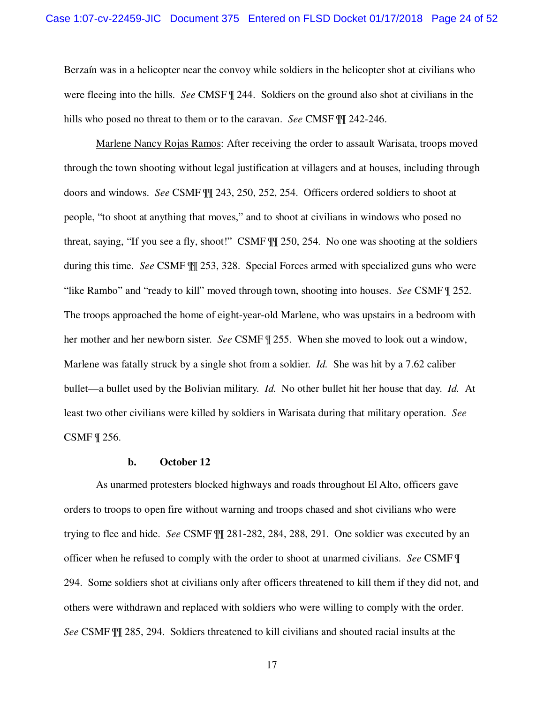Berzaín was in a helicopter near the convoy while soldiers in the helicopter shot at civilians who were fleeing into the hills. *See* CMSF ¶ 244. Soldiers on the ground also shot at civilians in the hills who posed no threat to them or to the caravan. *See* CMSF ¶¶ 242-246.

Marlene Nancy Rojas Ramos: After receiving the order to assault Warisata, troops moved through the town shooting without legal justification at villagers and at houses, including through doors and windows. *See* CSMF ¶¶ 243, 250, 252, 254. Officers ordered soldiers to shoot at people, "to shoot at anything that moves," and to shoot at civilians in windows who posed no threat, saying, "If you see a fly, shoot!" CSMF ¶¶ 250, 254. No one was shooting at the soldiers during this time. *See* CSMF ¶¶ 253, 328. Special Forces armed with specialized guns who were "like Rambo" and "ready to kill" moved through town, shooting into houses. *See* CSMF ¶ 252. The troops approached the home of eight-year-old Marlene, who was upstairs in a bedroom with her mother and her newborn sister. *See* CSMF ¶ 255. When she moved to look out a window, Marlene was fatally struck by a single shot from a soldier. *Id.* She was hit by a 7.62 caliber bullet—a bullet used by the Bolivian military. *Id.* No other bullet hit her house that day. *Id.* At least two other civilians were killed by soldiers in Warisata during that military operation. *See* CSMF ¶ 256.

#### **b. October 12**

As unarmed protesters blocked highways and roads throughout El Alto, officers gave orders to troops to open fire without warning and troops chased and shot civilians who were trying to flee and hide. *See* CSMF ¶¶ 281-282, 284, 288, 291. One soldier was executed by an officer when he refused to comply with the order to shoot at unarmed civilians. *See* CSMF ¶ 294. Some soldiers shot at civilians only after officers threatened to kill them if they did not, and others were withdrawn and replaced with soldiers who were willing to comply with the order. *See* CSMF ¶¶ 285, 294. Soldiers threatened to kill civilians and shouted racial insults at the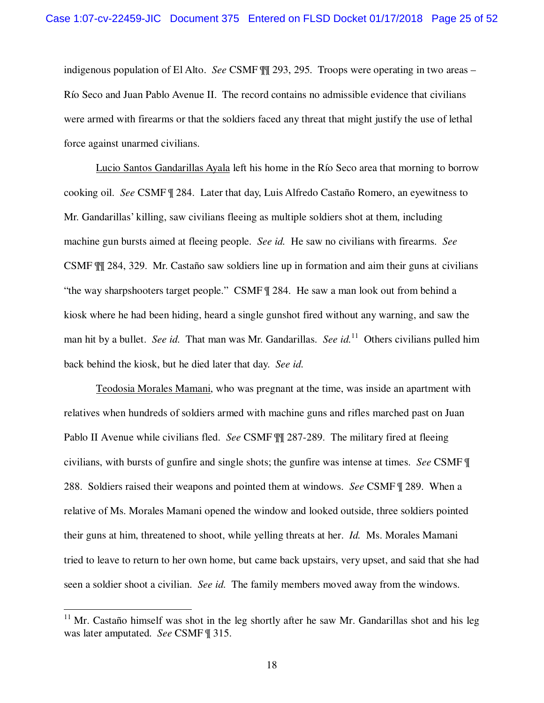indigenous population of El Alto. *See* CSMF ¶¶ 293, 295. Troops were operating in two areas – Río Seco and Juan Pablo Avenue II. The record contains no admissible evidence that civilians were armed with firearms or that the soldiers faced any threat that might justify the use of lethal force against unarmed civilians.

Lucio Santos Gandarillas Ayala left his home in the Río Seco area that morning to borrow cooking oil. *See* CSMF ¶ 284. Later that day, Luis Alfredo Castaño Romero, an eyewitness to Mr. Gandarillas' killing, saw civilians fleeing as multiple soldiers shot at them, including machine gun bursts aimed at fleeing people. *See id.* He saw no civilians with firearms. *See* CSMF ¶¶ 284, 329. Mr. Castaño saw soldiers line up in formation and aim their guns at civilians "the way sharpshooters target people." CSMF ¶ 284. He saw a man look out from behind a kiosk where he had been hiding, heard a single gunshot fired without any warning, and saw the man hit by a bullet. *See id.* That man was Mr. Gandarillas. *See id.*<sup>11</sup> Others civilians pulled him back behind the kiosk, but he died later that day. *See id.*

Teodosia Morales Mamani, who was pregnant at the time, was inside an apartment with relatives when hundreds of soldiers armed with machine guns and rifles marched past on Juan Pablo II Avenue while civilians fled. *See* CSMF ¶¶ 287-289. The military fired at fleeing civilians, with bursts of gunfire and single shots; the gunfire was intense at times. *See* CSMF ¶ 288. Soldiers raised their weapons and pointed them at windows. *See* CSMF ¶ 289. When a relative of Ms. Morales Mamani opened the window and looked outside, three soldiers pointed their guns at him, threatened to shoot, while yelling threats at her. *Id.* Ms. Morales Mamani tried to leave to return to her own home, but came back upstairs, very upset, and said that she had seen a soldier shoot a civilian. *See id.* The family members moved away from the windows.

<u>.</u>

 $11$  Mr. Castaño himself was shot in the leg shortly after he saw Mr. Gandarillas shot and his leg was later amputated. *See* CSMF ¶ 315.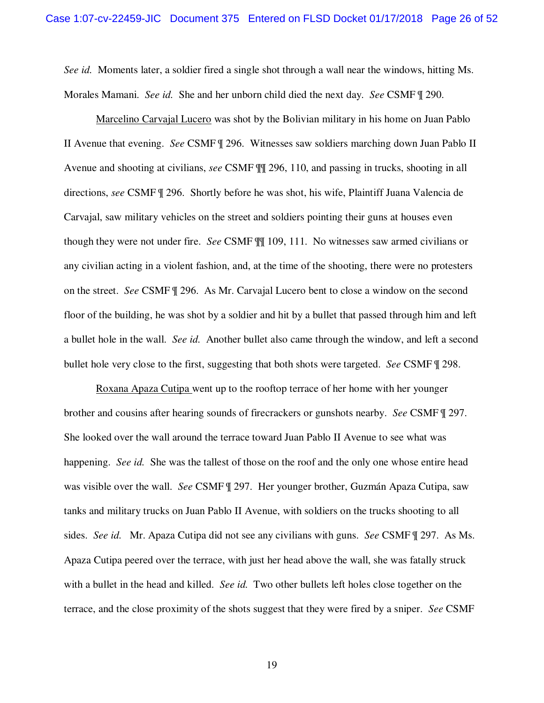*See id.* Moments later, a soldier fired a single shot through a wall near the windows, hitting Ms. Morales Mamani. *See id.* She and her unborn child died the next day. *See* CSMF ¶ 290.

Marcelino Carvajal Lucero was shot by the Bolivian military in his home on Juan Pablo II Avenue that evening. *See* CSMF ¶ 296. Witnesses saw soldiers marching down Juan Pablo II Avenue and shooting at civilians, *see* CSMF ¶¶ 296, 110, and passing in trucks, shooting in all directions, *see* CSMF ¶ 296. Shortly before he was shot, his wife, Plaintiff Juana Valencia de Carvajal, saw military vehicles on the street and soldiers pointing their guns at houses even though they were not under fire. *See* CSMF ¶¶ 109, 111. No witnesses saw armed civilians or any civilian acting in a violent fashion, and, at the time of the shooting, there were no protesters on the street. *See* CSMF ¶ 296. As Mr. Carvajal Lucero bent to close a window on the second floor of the building, he was shot by a soldier and hit by a bullet that passed through him and left a bullet hole in the wall. *See id.* Another bullet also came through the window, and left a second bullet hole very close to the first, suggesting that both shots were targeted. *See* CSMF ¶ 298.

Roxana Apaza Cutipa went up to the rooftop terrace of her home with her younger brother and cousins after hearing sounds of firecrackers or gunshots nearby. *See* CSMF ¶ 297. She looked over the wall around the terrace toward Juan Pablo II Avenue to see what was happening. *See id.* She was the tallest of those on the roof and the only one whose entire head was visible over the wall. *See* CSMF ¶ 297. Her younger brother, Guzmán Apaza Cutipa, saw tanks and military trucks on Juan Pablo II Avenue, with soldiers on the trucks shooting to all sides. *See id.* Mr. Apaza Cutipa did not see any civilians with guns. *See* CSMF ¶ 297. As Ms. Apaza Cutipa peered over the terrace, with just her head above the wall, she was fatally struck with a bullet in the head and killed. *See id.* Two other bullets left holes close together on the terrace, and the close proximity of the shots suggest that they were fired by a sniper. *See* CSMF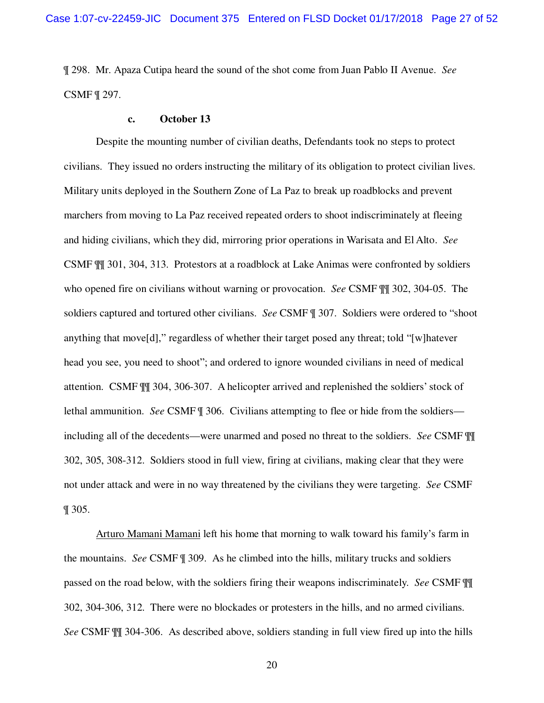¶ 298. Mr. Apaza Cutipa heard the sound of the shot come from Juan Pablo II Avenue. *See* CSMF ¶ 297.

#### **c. October 13**

Despite the mounting number of civilian deaths, Defendants took no steps to protect civilians. They issued no orders instructing the military of its obligation to protect civilian lives. Military units deployed in the Southern Zone of La Paz to break up roadblocks and prevent marchers from moving to La Paz received repeated orders to shoot indiscriminately at fleeing and hiding civilians, which they did, mirroring prior operations in Warisata and El Alto. *See* CSMF ¶¶ 301, 304, 313. Protestors at a roadblock at Lake Animas were confronted by soldiers who opened fire on civilians without warning or provocation. *See* CSMF ¶¶ 302, 304-05. The soldiers captured and tortured other civilians. *See* CSMF ¶ 307. Soldiers were ordered to "shoot anything that move[d]," regardless of whether their target posed any threat; told "[w]hatever head you see, you need to shoot"; and ordered to ignore wounded civilians in need of medical attention. CSMF ¶¶ 304, 306-307. A helicopter arrived and replenished the soldiers' stock of lethal ammunition. *See* CSMF ¶ 306. Civilians attempting to flee or hide from the soldiers including all of the decedents—were unarmed and posed no threat to the soldiers. *See* CSMF ¶¶ 302, 305, 308-312. Soldiers stood in full view, firing at civilians, making clear that they were not under attack and were in no way threatened by the civilians they were targeting. *See* CSMF ¶ 305.

Arturo Mamani Mamani left his home that morning to walk toward his family's farm in the mountains. *See* CSMF ¶ 309. As he climbed into the hills, military trucks and soldiers passed on the road below, with the soldiers firing their weapons indiscriminately. *See* CSMF ¶¶ 302, 304-306, 312. There were no blockades or protesters in the hills, and no armed civilians. *See* CSMF ¶¶ 304-306. As described above, soldiers standing in full view fired up into the hills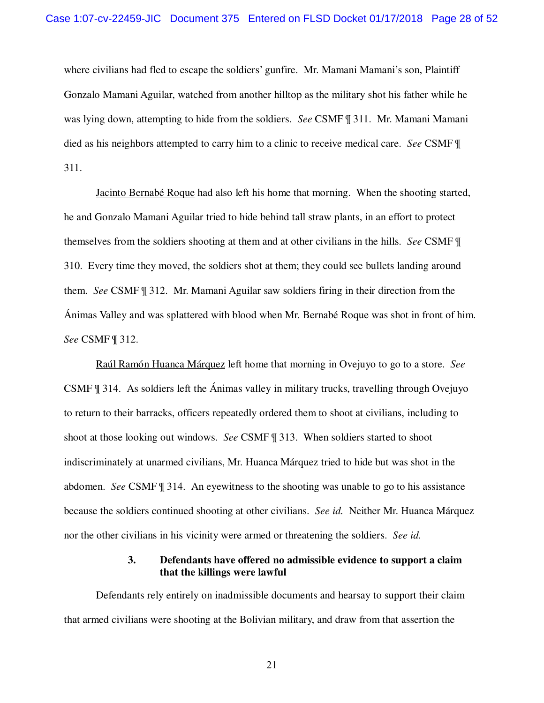where civilians had fled to escape the soldiers' gunfire. Mr. Mamani Mamani's son, Plaintiff Gonzalo Mamani Aguilar, watched from another hilltop as the military shot his father while he was lying down, attempting to hide from the soldiers. *See* CSMF ¶ 311. Mr. Mamani Mamani died as his neighbors attempted to carry him to a clinic to receive medical care. *See* CSMF ¶ 311.

Jacinto Bernabé Roque had also left his home that morning. When the shooting started, he and Gonzalo Mamani Aguilar tried to hide behind tall straw plants, in an effort to protect themselves from the soldiers shooting at them and at other civilians in the hills. *See* CSMF ¶ 310. Every time they moved, the soldiers shot at them; they could see bullets landing around them. *See* CSMF ¶ 312. Mr. Mamani Aguilar saw soldiers firing in their direction from the Ánimas Valley and was splattered with blood when Mr. Bernabé Roque was shot in front of him. *See* CSMF ¶ 312.

Raúl Ramón Huanca Márquez left home that morning in Ovejuyo to go to a store. *See* CSMF ¶ 314. As soldiers left the Ánimas valley in military trucks, travelling through Ovejuyo to return to their barracks, officers repeatedly ordered them to shoot at civilians, including to shoot at those looking out windows. *See* CSMF ¶ 313. When soldiers started to shoot indiscriminately at unarmed civilians, Mr. Huanca Márquez tried to hide but was shot in the abdomen. *See* CSMF ¶ 314. An eyewitness to the shooting was unable to go to his assistance because the soldiers continued shooting at other civilians. *See id.* Neither Mr. Huanca Márquez nor the other civilians in his vicinity were armed or threatening the soldiers. *See id.*

#### **3. Defendants have offered no admissible evidence to support a claim that the killings were lawful**

Defendants rely entirely on inadmissible documents and hearsay to support their claim that armed civilians were shooting at the Bolivian military, and draw from that assertion the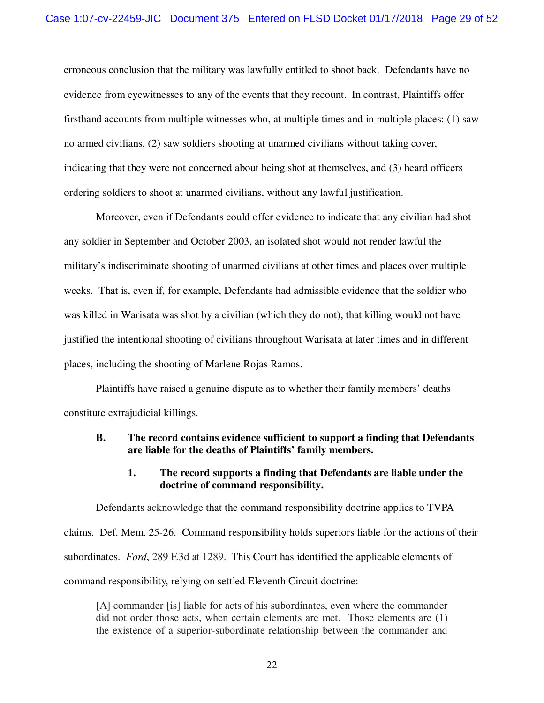erroneous conclusion that the military was lawfully entitled to shoot back. Defendants have no evidence from eyewitnesses to any of the events that they recount. In contrast, Plaintiffs offer firsthand accounts from multiple witnesses who, at multiple times and in multiple places: (1) saw no armed civilians, (2) saw soldiers shooting at unarmed civilians without taking cover, indicating that they were not concerned about being shot at themselves, and (3) heard officers ordering soldiers to shoot at unarmed civilians, without any lawful justification.

Moreover, even if Defendants could offer evidence to indicate that any civilian had shot any soldier in September and October 2003, an isolated shot would not render lawful the military's indiscriminate shooting of unarmed civilians at other times and places over multiple weeks. That is, even if, for example, Defendants had admissible evidence that the soldier who was killed in Warisata was shot by a civilian (which they do not), that killing would not have justified the intentional shooting of civilians throughout Warisata at later times and in different places, including the shooting of Marlene Rojas Ramos.

Plaintiffs have raised a genuine dispute as to whether their family members' deaths constitute extrajudicial killings.

#### **B. The record contains evidence sufficient to support a finding that Defendants are liable for the deaths of Plaintiffs' family members.**

#### **1. The record supports a finding that Defendants are liable under the doctrine of command responsibility.**

Defendants acknowledge that the command responsibility doctrine applies to TVPA claims. Def. Mem. 25-26.Command responsibility holds superiors liable for the actions of their subordinates. *Ford*, 289 F.3d at 1289. This Court has identified the applicable elements of command responsibility, relying on settled Eleventh Circuit doctrine:

[A] commander [is] liable for acts of his subordinates, even where the commander did not order those acts, when certain elements are met. Those elements are (1) the existence of a superior-subordinate relationship between the commander and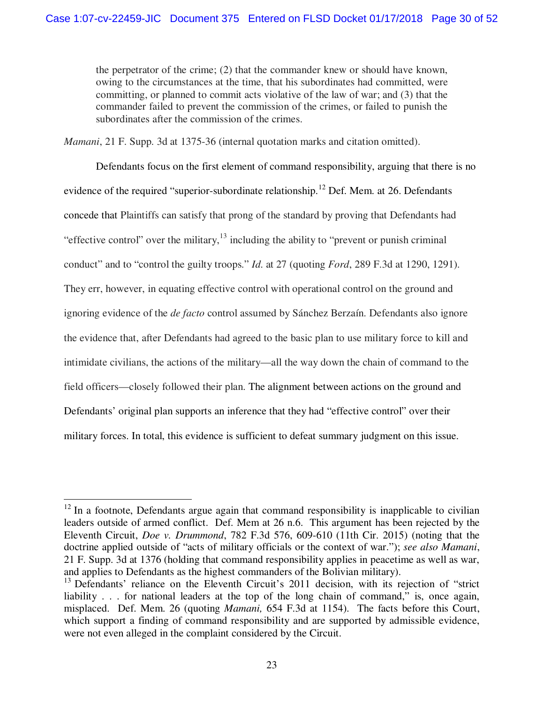the perpetrator of the crime; (2) that the commander knew or should have known, owing to the circumstances at the time, that his subordinates had committed, were committing, or planned to commit acts violative of the law of war; and (3) that the commander failed to prevent the commission of the crimes, or failed to punish the subordinates after the commission of the crimes.

*Mamani*, 21 F. Supp. 3d at 1375-36 (internal quotation marks and citation omitted).

Defendants focus on the first element of command responsibility, arguing that there is no evidence of the required "superior-subordinate relationship.<sup>12</sup> Def. Mem. at 26. Defendants concede that Plaintiffs can satisfy that prong of the standard by proving that Defendants had "effective control" over the military,  $^{13}$  including the ability to "prevent or punish criminal" conduct" and to "control the guilty troops." *Id*. at 27 (quoting *Ford*, 289 F.3d at 1290, 1291). They err, however, in equating effective control with operational control on the ground and ignoring evidence of the *de facto* control assumed by Sánchez Berzaín. Defendants also ignore the evidence that, after Defendants had agreed to the basic plan to use military force to kill and intimidate civilians, the actions of the military—all the way down the chain of command to the field officers—closely followed their plan. The alignment between actions on the ground and Defendants' original plan supports an inference that they had "effective control" over their military forces. In total, this evidence is sufficient to defeat summary judgment on this issue.

 $\overline{a}$ 

 $12$  In a footnote, Defendants argue again that command responsibility is inapplicable to civilian leaders outside of armed conflict. Def. Mem at 26 n.6. This argument has been rejected by the Eleventh Circuit, *Doe v. Drummond*, 782 F.3d 576, 609-610 (11th Cir. 2015) (noting that the doctrine applied outside of "acts of military officials or the context of war."); *see also Mamani*, 21 F. Supp. 3d at 1376 (holding that command responsibility applies in peacetime as well as war, and applies to Defendants as the highest commanders of the Bolivian military).

<sup>&</sup>lt;sup>13</sup> Defendants' reliance on the Eleventh Circuit's 2011 decision, with its rejection of "strict" liability . . . for national leaders at the top of the long chain of command," is, once again, misplaced. Def. Mem. 26 (quoting *Mamani,* 654 F.3d at 1154). The facts before this Court, which support a finding of command responsibility and are supported by admissible evidence, were not even alleged in the complaint considered by the Circuit.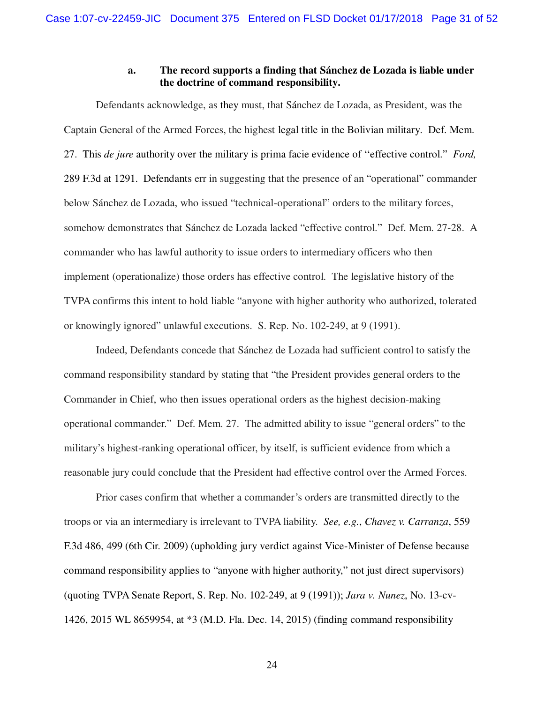#### **a. The record supports a finding that Sánchez de Lozada is liable under the doctrine of command responsibility.**

Defendants acknowledge, as they must, that Sánchez de Lozada, as President, was the Captain General of the Armed Forces, the highest legal title in the Bolivian military. Def. Mem. 27. This *de jure* authority over the military is prima facie evidence of ''effective control." *Ford,*  289 F.3d at 1291. Defendants err in suggesting that the presence of an "operational" commander below Sánchez de Lozada, who issued "technical-operational" orders to the military forces, somehow demonstrates that Sánchez de Lozada lacked "effective control." Def. Mem. 27-28. A commander who has lawful authority to issue orders to intermediary officers who then implement (operationalize) those orders has effective control. The legislative history of the TVPA confirms this intent to hold liable "anyone with higher authority who authorized, tolerated or knowingly ignored" unlawful executions. S. Rep. No. 102-249, at 9 (1991).

Indeed, Defendants concede that Sánchez de Lozada had sufficient control to satisfy the command responsibility standard by stating that "the President provides general orders to the Commander in Chief, who then issues operational orders as the highest decision-making operational commander." Def. Mem. 27. The admitted ability to issue "general orders" to the military's highest-ranking operational officer, by itself, is sufficient evidence from which a reasonable jury could conclude that the President had effective control over the Armed Forces.

Prior cases confirm that whether a commander's orders are transmitted directly to the troops or via an intermediary is irrelevant to TVPA liability. *See, e.g.*, *Chavez v. Carranza*, 559 F.3d 486, 499 (6th Cir. 2009) (upholding jury verdict against Vice-Minister of Defense because command responsibility applies to "anyone with higher authority," not just direct supervisors) (quoting TVPA Senate Report, S. Rep. No. 102-249, at 9 (1991)); *Jara v. Nunez*, No. 13-cv-1426, 2015 WL 8659954, at \*3 (M.D. Fla. Dec. 14, 2015) (finding command responsibility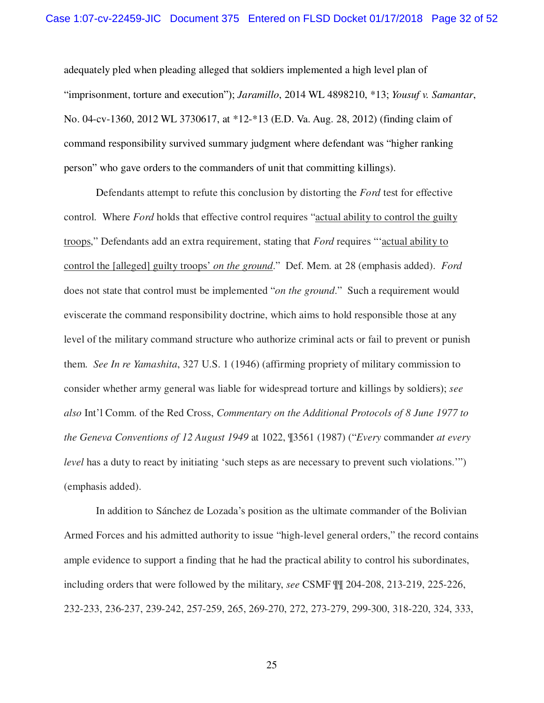adequately pled when pleading alleged that soldiers implemented a high level plan of "imprisonment, torture and execution"); *Jaramillo*, 2014 WL 4898210, \*13; *Yousuf v. Samantar*, No. 04-cv-1360, 2012 WL 3730617, at \*12-\*13 (E.D. Va. Aug. 28, 2012) (finding claim of command responsibility survived summary judgment where defendant was "higher ranking person" who gave orders to the commanders of unit that committing killings).

Defendants attempt to refute this conclusion by distorting the *Ford* test for effective control. Where *Ford* holds that effective control requires "actual ability to control the guilty troops," Defendants add an extra requirement, stating that *Ford* requires "'actual ability to control the [alleged] guilty troops' *on the ground*." Def. Mem. at 28 (emphasis added). *Ford*  does not state that control must be implemented "*on the ground*." Such a requirement would eviscerate the command responsibility doctrine, which aims to hold responsible those at any level of the military command structure who authorize criminal acts or fail to prevent or punish them. *See In re Yamashita*, 327 U.S. 1 (1946) (affirming propriety of military commission to consider whether army general was liable for widespread torture and killings by soldiers); *see also* Int'l Comm. of the Red Cross, *Commentary on the Additional Protocols of 8 June 1977 to the Geneva Conventions of 12 August 1949* at 1022, ¶3561 (1987) ("*Every* commander *at every level* has a duty to react by initiating 'such steps as are necessary to prevent such violations.'") (emphasis added).

In addition to Sánchez de Lozada's position as the ultimate commander of the Bolivian Armed Forces and his admitted authority to issue "high-level general orders," the record contains ample evidence to support a finding that he had the practical ability to control his subordinates, including orders that were followed by the military, *see* CSMF ¶¶ 204-208, 213-219, 225-226, 232-233, 236-237, 239-242, 257-259, 265, 269-270, 272, 273-279, 299-300, 318-220, 324, 333,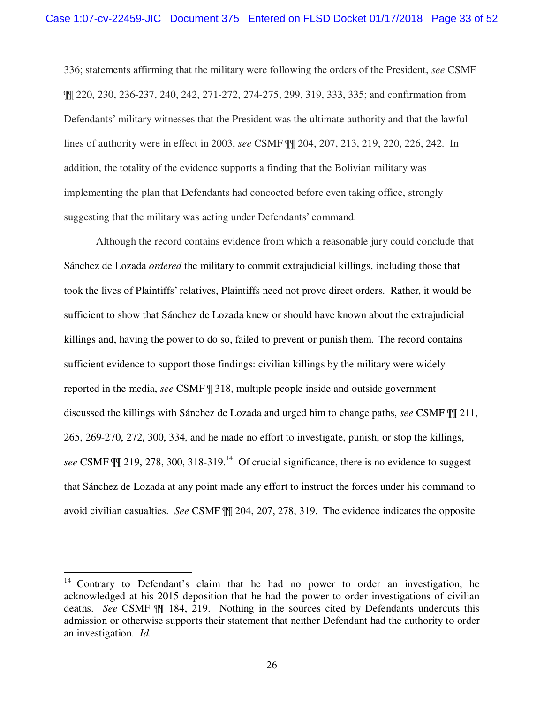336; statements affirming that the military were following the orders of the President, *see* CSMF ¶¶ 220, 230, 236-237, 240, 242, 271-272, 274-275, 299, 319, 333, 335; and confirmation from Defendants' military witnesses that the President was the ultimate authority and that the lawful lines of authority were in effect in 2003, *see* CSMF ¶¶ 204, 207, 213, 219, 220, 226, 242. In addition, the totality of the evidence supports a finding that the Bolivian military was implementing the plan that Defendants had concocted before even taking office, strongly suggesting that the military was acting under Defendants' command.

Although the record contains evidence from which a reasonable jury could conclude that Sánchez de Lozada *ordered* the military to commit extrajudicial killings, including those that took the lives of Plaintiffs' relatives, Plaintiffs need not prove direct orders. Rather, it would be sufficient to show that Sánchez de Lozada knew or should have known about the extrajudicial killings and, having the power to do so, failed to prevent or punish them. The record contains sufficient evidence to support those findings: civilian killings by the military were widely reported in the media, *see* CSMF ¶ 318, multiple people inside and outside government discussed the killings with Sánchez de Lozada and urged him to change paths, *see* CSMF ¶¶ 211, 265, 269-270, 272, 300, 334, and he made no effort to investigate, punish, or stop the killings, *see* CSMF ¶¶ 219, 278, 300, 318-319. <sup>14</sup> Of crucial significance, there is no evidence to suggest that Sánchez de Lozada at any point made any effort to instruct the forces under his command to avoid civilian casualties. *See* CSMF ¶¶ 204, 207, 278, 319. The evidence indicates the opposite

<u>.</u>

 $14$  Contrary to Defendant's claim that he had no power to order an investigation, he acknowledged at his 2015 deposition that he had the power to order investigations of civilian deaths. *See* CSMF ¶¶ 184, 219. Nothing in the sources cited by Defendants undercuts this admission or otherwise supports their statement that neither Defendant had the authority to order an investigation. *Id.*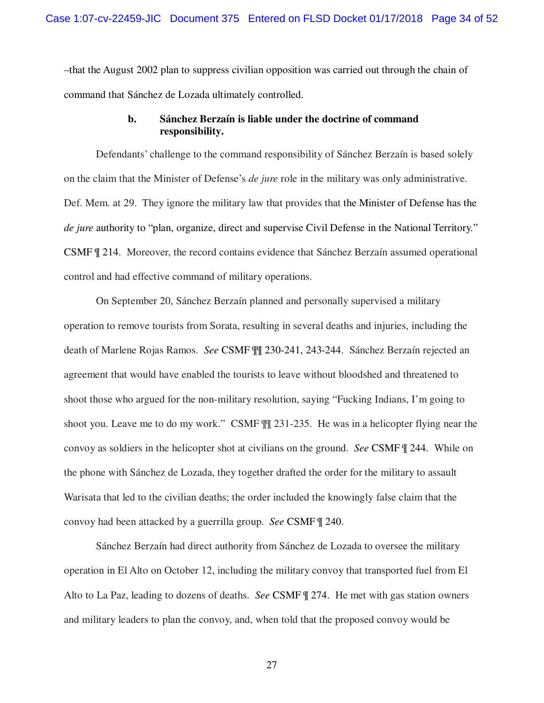–that the August 2002 plan to suppress civilian opposition was carried out through the chain of command that Sánchez de Lozada ultimately controlled.

#### **b. Sánchez Berzaín is liable under the doctrine of command responsibility.**

Defendants' challenge to the command responsibility of Sánchez Berzaín is based solely on the claim that the Minister of Defense's *de jure* role in the military was only administrative. Def. Mem. at 29. They ignore the military law that provides that the Minister of Defense has the *de jure* authority to "plan, organize, direct and supervise Civil Defense in the National Territory." CSMF ¶ 214. Moreover, the record contains evidence that Sánchez Berzaín assumed operational control and had effective command of military operations.

On September 20, Sánchez Berzaín planned and personally supervised a military operation to remove tourists from Sorata, resulting in several deaths and injuries, including the death of Marlene Rojas Ramos. *See* CSMF ¶¶ 230-241, 243-244. Sánchez Berzaín rejected an agreement that would have enabled the tourists to leave without bloodshed and threatened to shoot those who argued for the non-military resolution, saying "Fucking Indians, I'm going to shoot you. Leave me to do my work." CSMF ¶¶ 231-235. He was in a helicopter flying near the convoy as soldiers in the helicopter shot at civilians on the ground. *See* CSMF ¶ 244. While on the phone with Sánchez de Lozada, they together drafted the order for the military to assault Warisata that led to the civilian deaths; the order included the knowingly false claim that the convoy had been attacked by a guerrilla group. *See* CSMF ¶ 240.

Sánchez Berzaín had direct authority from Sánchez de Lozada to oversee the military operation in El Alto on October 12, including the military convoy that transported fuel from El Alto to La Paz, leading to dozens of deaths. *See* CSMF ¶ 274. He met with gas station owners and military leaders to plan the convoy, and, when told that the proposed convoy would be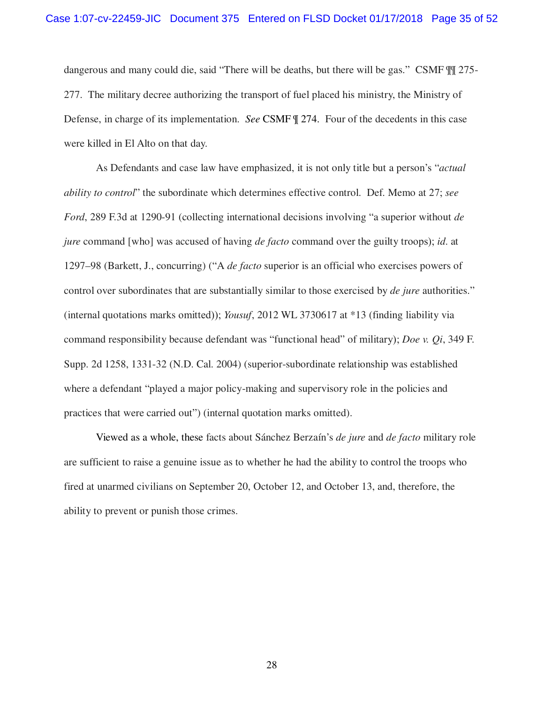dangerous and many could die, said "There will be deaths, but there will be gas." CSMF ¶¶ 275- 277. The military decree authorizing the transport of fuel placed his ministry, the Ministry of Defense, in charge of its implementation. *See* CSMF ¶ 274. Four of the decedents in this case were killed in El Alto on that day.

As Defendants and case law have emphasized, it is not only title but a person's "*actual ability to control*" the subordinate which determines effective control. Def. Memo at 27; *see Ford*, 289 F.3d at 1290-91 (collecting international decisions involving "a superior without *de jure* command [who] was accused of having *de facto* command over the guilty troops); *id*. at 1297–98 (Barkett, J., concurring) ("A *de facto* superior is an official who exercises powers of control over subordinates that are substantially similar to those exercised by *de jure* authorities." (internal quotations marks omitted)); *Yousuf*, 2012 WL 3730617 at \*13 (finding liability via command responsibility because defendant was "functional head" of military); *Doe v. Qi*, 349 F. Supp. 2d 1258, 1331-32 (N.D. Cal. 2004) (superior-subordinate relationship was established where a defendant "played a major policy-making and supervisory role in the policies and practices that were carried out") (internal quotation marks omitted).

Viewed as a whole, these facts about Sánchez Berzaín's *de jure* and *de facto* military role are sufficient to raise a genuine issue as to whether he had the ability to control the troops who fired at unarmed civilians on September 20, October 12, and October 13, and, therefore, the ability to prevent or punish those crimes.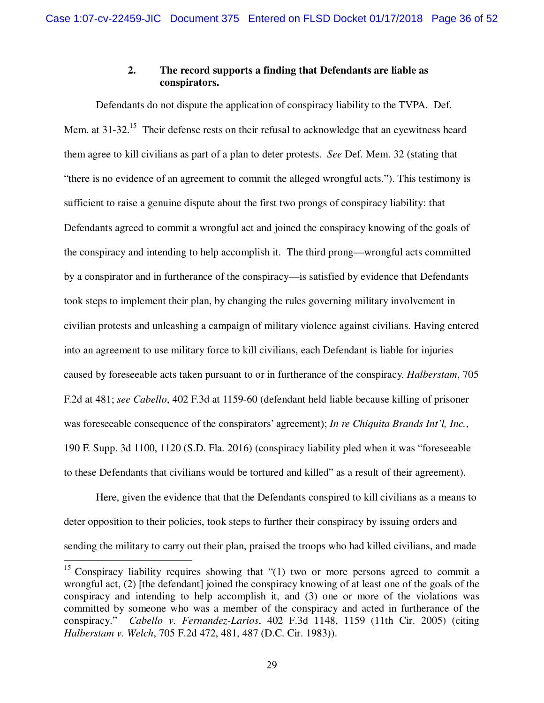# **2. The record supports a finding that Defendants are liable as conspirators.**

Defendants do not dispute the application of conspiracy liability to the TVPA. Def. Mem. at  $31-32$ <sup>15</sup> Their defense rests on their refusal to acknowledge that an eyewitness heard them agree to kill civilians as part of a plan to deter protests. *See* Def. Mem. 32 (stating that "there is no evidence of an agreement to commit the alleged wrongful acts."). This testimony is sufficient to raise a genuine dispute about the first two prongs of conspiracy liability: that Defendants agreed to commit a wrongful act and joined the conspiracy knowing of the goals of the conspiracy and intending to help accomplish it. The third prong—wrongful acts committed by a conspirator and in furtherance of the conspiracy—is satisfied by evidence that Defendants took steps to implement their plan, by changing the rules governing military involvement in civilian protests and unleashing a campaign of military violence against civilians. Having entered into an agreement to use military force to kill civilians, each Defendant is liable for injuries caused by foreseeable acts taken pursuant to or in furtherance of the conspiracy. *Halberstam*, 705 F.2d at 481; *see Cabello*, 402 F.3d at 1159-60 (defendant held liable because killing of prisoner was foreseeable consequence of the conspirators' agreement); *In re Chiquita Brands Int'l, Inc.*, 190 F. Supp. 3d 1100, 1120 (S.D. Fla. 2016) (conspiracy liability pled when it was "foreseeable to these Defendants that civilians would be tortured and killed" as a result of their agreement).

Here, given the evidence that that the Defendants conspired to kill civilians as a means to deter opposition to their policies, took steps to further their conspiracy by issuing orders and sending the military to carry out their plan, praised the troops who had killed civilians, and made

<sup>&</sup>lt;sup>15</sup> Conspiracy liability requires showing that " $(1)$  two or more persons agreed to commit a wrongful act, (2) [the defendant] joined the conspiracy knowing of at least one of the goals of the conspiracy and intending to help accomplish it, and (3) one or more of the violations was committed by someone who was a member of the conspiracy and acted in furtherance of the conspiracy." *Cabello v. Fernandez-Larios*, 402 F.3d 1148, 1159 (11th Cir. 2005) (citing *Halberstam v. Welch*, 705 F.2d 472, 481, 487 (D.C. Cir. 1983)).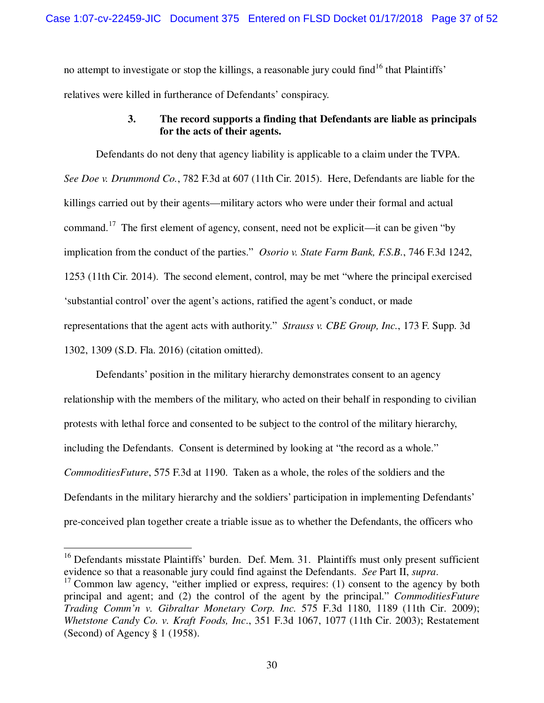no attempt to investigate or stop the killings, a reasonable jury could find<sup>16</sup> that Plaintiffs' relatives were killed in furtherance of Defendants' conspiracy.

## **3. The record supports a finding that Defendants are liable as principals for the acts of their agents.**

Defendants do not deny that agency liability is applicable to a claim under the TVPA. *See Doe v. Drummond Co.*, 782 F.3d at 607 (11th Cir. 2015). Here, Defendants are liable for the killings carried out by their agents—military actors who were under their formal and actual command.<sup>17</sup> The first element of agency, consent, need not be explicit—it can be given "by implication from the conduct of the parties." *Osorio v. State Farm Bank, F.S.B.*, 746 F.3d 1242, 1253 (11th Cir. 2014). The second element, control, may be met "where the principal exercised 'substantial control' over the agent's actions, ratified the agent's conduct, or made representations that the agent acts with authority." *Strauss v. CBE Group, Inc.*, 173 F. Supp. 3d 1302, 1309 (S.D. Fla. 2016) (citation omitted).

Defendants' position in the military hierarchy demonstrates consent to an agency relationship with the members of the military, who acted on their behalf in responding to civilian protests with lethal force and consented to be subject to the control of the military hierarchy, including the Defendants. Consent is determined by looking at "the record as a whole." *CommoditiesFuture*, 575 F.3d at 1190. Taken as a whole, the roles of the soldiers and the Defendants in the military hierarchy and the soldiers' participation in implementing Defendants' pre-conceived plan together create a triable issue as to whether the Defendants, the officers who

 $\overline{a}$ 

<sup>&</sup>lt;sup>16</sup> Defendants misstate Plaintiffs' burden. Def. Mem. 31. Plaintiffs must only present sufficient evidence so that a reasonable jury could find against the Defendants. *See* Part II, *supra*.

 $17$  Common law agency, "either implied or express, requires: (1) consent to the agency by both principal and agent; and (2) the control of the agent by the principal." *CommoditiesFuture Trading Comm'n v. Gibraltar Monetary Corp. Inc.* 575 F.3d 1180, 1189 (11th Cir. 2009); *Whetstone Candy Co. v. Kraft Foods, Inc*., 351 F.3d 1067, 1077 (11th Cir. 2003); Restatement (Second) of Agency § 1 (1958).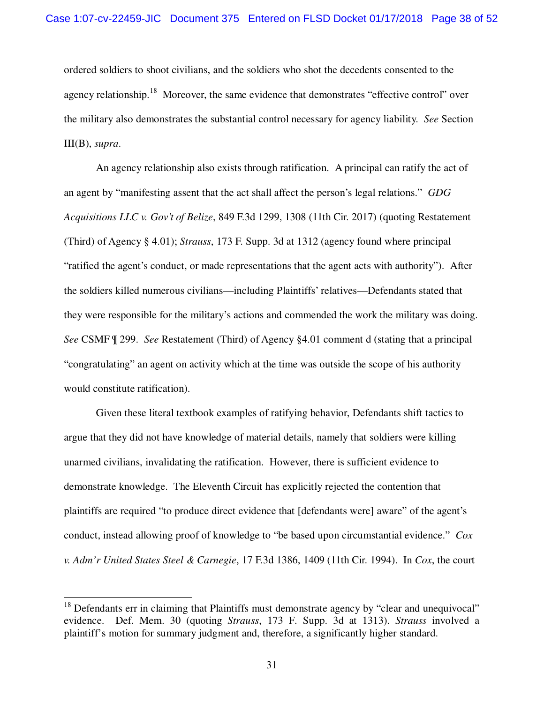ordered soldiers to shoot civilians, and the soldiers who shot the decedents consented to the agency relationship.<sup>18</sup> Moreover, the same evidence that demonstrates "effective control" over the military also demonstrates the substantial control necessary for agency liability. *See* Section III(B), *supra*.

An agency relationship also exists through ratification. A principal can ratify the act of an agent by "manifesting assent that the act shall affect the person's legal relations." *GDG Acquisitions LLC v. Gov't of Belize*, 849 F.3d 1299, 1308 (11th Cir. 2017) (quoting Restatement (Third) of Agency § 4.01); *Strauss*, 173 F. Supp. 3d at 1312 (agency found where principal "ratified the agent's conduct, or made representations that the agent acts with authority"). After the soldiers killed numerous civilians—including Plaintiffs' relatives—Defendants stated that they were responsible for the military's actions and commended the work the military was doing. *See* CSMF ¶ 299. *See* Restatement (Third) of Agency §4.01 comment d (stating that a principal "congratulating" an agent on activity which at the time was outside the scope of his authority would constitute ratification).

Given these literal textbook examples of ratifying behavior, Defendants shift tactics to argue that they did not have knowledge of material details, namely that soldiers were killing unarmed civilians, invalidating the ratification. However, there is sufficient evidence to demonstrate knowledge. The Eleventh Circuit has explicitly rejected the contention that plaintiffs are required "to produce direct evidence that [defendants were] aware" of the agent's conduct, instead allowing proof of knowledge to "be based upon circumstantial evidence." *Cox v. Adm'r United States Steel & Carnegie*, 17 F.3d 1386, 1409 (11th Cir. 1994). In *Cox*, the court

 $18$  Defendants err in claiming that Plaintiffs must demonstrate agency by "clear and unequivocal" evidence. Def. Mem. 30 (quoting *Strauss*, 173 F. Supp. 3d at 1313). *Strauss* involved a plaintiff's motion for summary judgment and, therefore, a significantly higher standard.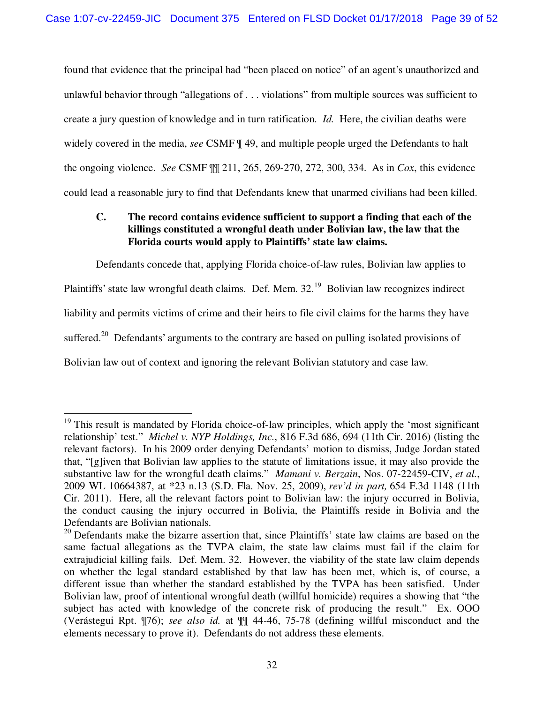found that evidence that the principal had "been placed on notice" of an agent's unauthorized and unlawful behavior through "allegations of . . . violations" from multiple sources was sufficient to create a jury question of knowledge and in turn ratification. *Id.* Here, the civilian deaths were widely covered in the media, *see* CSMF ¶ 49, and multiple people urged the Defendants to halt the ongoing violence. *See* CSMF ¶¶ 211, 265, 269-270, 272, 300, 334. As in *Cox*, this evidence could lead a reasonable jury to find that Defendants knew that unarmed civilians had been killed.

#### **C. The record contains evidence sufficient to support a finding that each of the killings constituted a wrongful death under Bolivian law, the law that the Florida courts would apply to Plaintiffs' state law claims.**

Defendants concede that, applying Florida choice-of-law rules, Bolivian law applies to Plaintiffs' state law wrongful death claims. Def. Mem. 32.<sup>19</sup> Bolivian law recognizes indirect liability and permits victims of crime and their heirs to file civil claims for the harms they have suffered.<sup>20</sup> Defendants' arguments to the contrary are based on pulling isolated provisions of Bolivian law out of context and ignoring the relevant Bolivian statutory and case law.

 $\overline{a}$ 

<sup>&</sup>lt;sup>19</sup> This result is mandated by Florida choice-of-law principles, which apply the 'most significant relationship' test." *Michel v. NYP Holdings, Inc.*, 816 F.3d 686, 694 (11th Cir. 2016) (listing the relevant factors). In his 2009 order denying Defendants' motion to dismiss, Judge Jordan stated that, "[g]iven that Bolivian law applies to the statute of limitations issue, it may also provide the substantive law for the wrongful death claims." *Mamani v. Berzain*, Nos. 07-22459-CIV, *et al.*, 2009 WL 10664387, at \*23 n.13 (S.D. Fla. Nov. 25, 2009), *rev'd in part,* 654 F.3d 1148 (11th Cir. 2011). Here, all the relevant factors point to Bolivian law: the injury occurred in Bolivia, the conduct causing the injury occurred in Bolivia, the Plaintiffs reside in Bolivia and the Defendants are Bolivian nationals.

 $20$  Defendants make the bizarre assertion that, since Plaintiffs' state law claims are based on the same factual allegations as the TVPA claim, the state law claims must fail if the claim for extrajudicial killing fails. Def. Mem. 32. However, the viability of the state law claim depends on whether the legal standard established by that law has been met, which is, of course, a different issue than whether the standard established by the TVPA has been satisfied. Under Bolivian law, proof of intentional wrongful death (willful homicide) requires a showing that "the subject has acted with knowledge of the concrete risk of producing the result." Ex. OOO (Verástegui Rpt. ¶76); *see also id.* at ¶¶ 44-46, 75-78 (defining willful misconduct and the elements necessary to prove it). Defendants do not address these elements.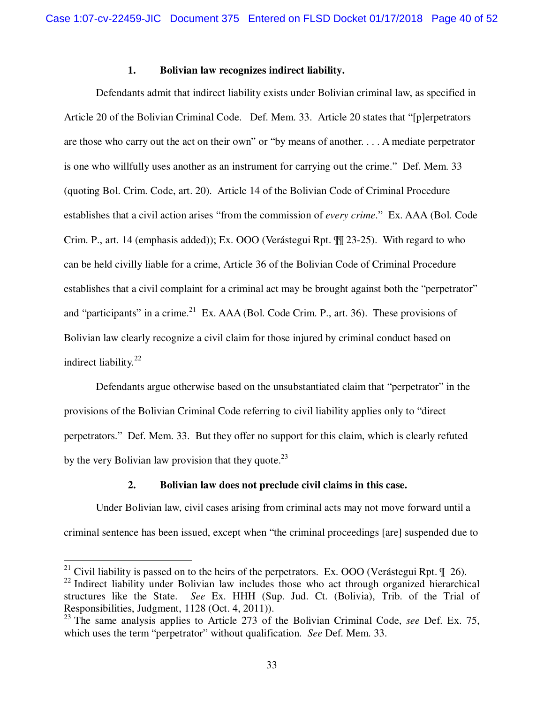#### **1. Bolivian law recognizes indirect liability.**

Defendants admit that indirect liability exists under Bolivian criminal law, as specified in Article 20 of the Bolivian Criminal Code. Def. Mem. 33. Article 20 states that "[p]erpetrators are those who carry out the act on their own" or "by means of another. . . . A mediate perpetrator is one who willfully uses another as an instrument for carrying out the crime." Def. Mem. 33 (quoting Bol. Crim. Code, art. 20). Article 14 of the Bolivian Code of Criminal Procedure establishes that a civil action arises "from the commission of *every crime*." Ex. AAA (Bol. Code Crim. P., art. 14 (emphasis added)); Ex. OOO (Verástegui Rpt. ¶¶ 23-25). With regard to who can be held civilly liable for a crime, Article 36 of the Bolivian Code of Criminal Procedure establishes that a civil complaint for a criminal act may be brought against both the "perpetrator" and "participants" in a crime.<sup>21</sup> Ex. AAA (Bol. Code Crim. P., art. 36). These provisions of Bolivian law clearly recognize a civil claim for those injured by criminal conduct based on indirect liability.<sup>22</sup>

Defendants argue otherwise based on the unsubstantiated claim that "perpetrator" in the provisions of the Bolivian Criminal Code referring to civil liability applies only to "direct perpetrators." Def. Mem. 33. But they offer no support for this claim, which is clearly refuted by the very Bolivian law provision that they quote.<sup>23</sup>

#### **2. Bolivian law does not preclude civil claims in this case.**

Under Bolivian law, civil cases arising from criminal acts may not move forward until a criminal sentence has been issued, except when "the criminal proceedings [are] suspended due to

<sup>&</sup>lt;sup>21</sup> Civil liability is passed on to the heirs of the perpetrators. Ex. OOO (Verástegui Rpt.  $\llbracket$  26).

<sup>&</sup>lt;sup>22</sup> Indirect liability under Bolivian law includes those who act through organized hierarchical structures like the State. *See* Ex. HHH (Sup. Jud. Ct. (Bolivia), Trib. of the Trial of Responsibilities, Judgment, 1128 (Oct. 4, 2011)).

<sup>&</sup>lt;sup>23</sup> The same analysis applies to Article 273 of the Bolivian Criminal Code, *see* Def. Ex. 75, which uses the term "perpetrator" without qualification. *See* Def. Mem. 33.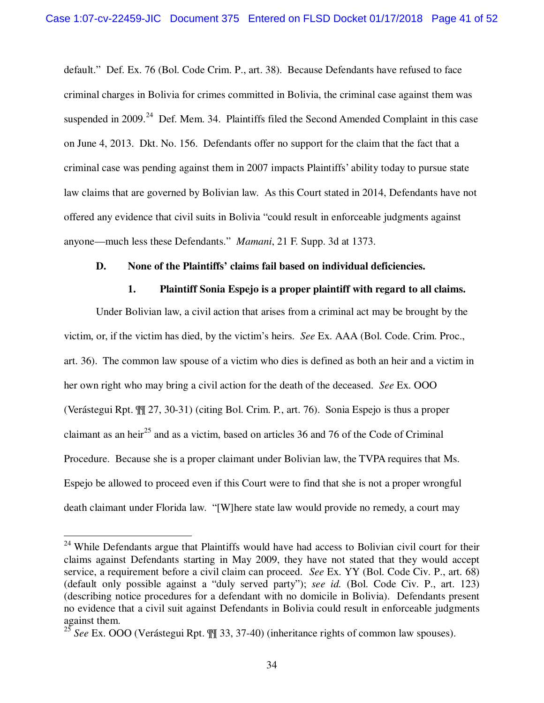default." Def. Ex. 76 (Bol. Code Crim. P., art. 38). Because Defendants have refused to face criminal charges in Bolivia for crimes committed in Bolivia, the criminal case against them was suspended in 2009.<sup>24</sup> Def. Mem. 34. Plaintiffs filed the Second Amended Complaint in this case on June 4, 2013. Dkt. No. 156. Defendants offer no support for the claim that the fact that a criminal case was pending against them in 2007 impacts Plaintiffs' ability today to pursue state law claims that are governed by Bolivian law. As this Court stated in 2014, Defendants have not offered any evidence that civil suits in Bolivia "could result in enforceable judgments against anyone—much less these Defendants." *Mamani*, 21 F. Supp. 3d at 1373.

#### **D. None of the Plaintiffs' claims fail based on individual deficiencies.**

#### **1. Plaintiff Sonia Espejo is a proper plaintiff with regard to all claims.**

Under Bolivian law, a civil action that arises from a criminal act may be brought by the victim, or, if the victim has died, by the victim's heirs. *See* Ex. AAA (Bol. Code. Crim. Proc., art. 36). The common law spouse of a victim who dies is defined as both an heir and a victim in her own right who may bring a civil action for the death of the deceased. *See* Ex. OOO (Verástegui Rpt. ¶¶ 27, 30-31) (citing Bol. Crim. P., art. 76). Sonia Espejo is thus a proper claimant as an heir<sup>25</sup> and as a victim, based on articles 36 and 76 of the Code of Criminal Procedure. Because she is a proper claimant under Bolivian law, the TVPA requires that Ms. Espejo be allowed to proceed even if this Court were to find that she is not a proper wrongful death claimant under Florida law. "[W]here state law would provide no remedy, a court may

 $\overline{a}$ 

<sup>&</sup>lt;sup>24</sup> While Defendants argue that Plaintiffs would have had access to Bolivian civil court for their claims against Defendants starting in May 2009, they have not stated that they would accept service, a requirement before a civil claim can proceed. *See* Ex. YY (Bol. Code Civ. P., art. 68) (default only possible against a "duly served party"); *see id.* (Bol. Code Civ. P., art. 123) (describing notice procedures for a defendant with no domicile in Bolivia). Defendants present no evidence that a civil suit against Defendants in Bolivia could result in enforceable judgments against them.

<sup>25</sup> *See* Ex. OOO (Verástegui Rpt. ¶¶ 33, 37-40) (inheritance rights of common law spouses).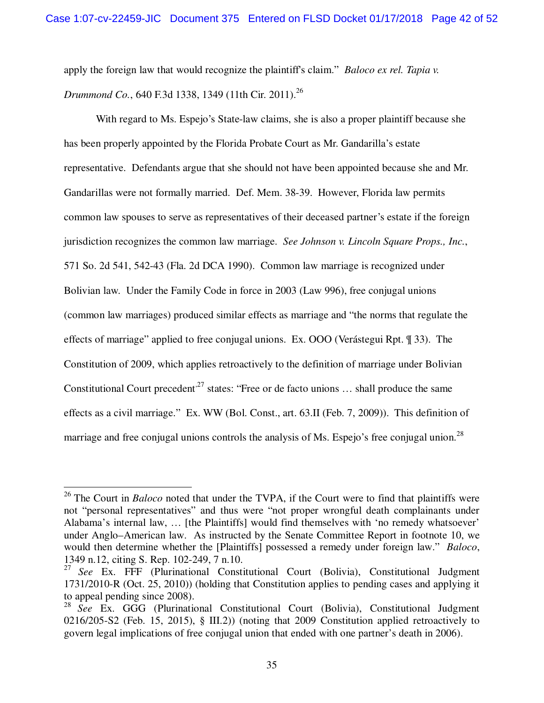apply the foreign law that would recognize the plaintiff's claim." *Baloco ex rel. Tapia v. Drummond Co.*, 640 F.3d 1338, 1349 (11th Cir. 2011).<sup>26</sup>

With regard to Ms. Espejo's State-law claims, she is also a proper plaintiff because she has been properly appointed by the Florida Probate Court as Mr. Gandarilla's estate representative. Defendants argue that she should not have been appointed because she and Mr. Gandarillas were not formally married. Def. Mem. 38-39. However, Florida law permits common law spouses to serve as representatives of their deceased partner's estate if the foreign jurisdiction recognizes the common law marriage. *See Johnson v. Lincoln Square Props., Inc.*, 571 So. 2d 541, 542-43 (Fla. 2d DCA 1990). Common law marriage is recognized under Bolivian law. Under the Family Code in force in 2003 (Law 996), free conjugal unions (common law marriages) produced similar effects as marriage and "the norms that regulate the effects of marriage" applied to free conjugal unions. Ex. OOO (Verástegui Rpt. ¶ 33). The Constitution of 2009, which applies retroactively to the definition of marriage under Bolivian Constitutional Court precedent<sup>27</sup> states: "Free or de facto unions ... shall produce the same effects as a civil marriage." Ex. WW (Bol. Const., art. 63.II (Feb. 7, 2009)). This definition of marriage and free conjugal unions controls the analysis of Ms. Espejo's free conjugal union.<sup>28</sup>

 $\overline{a}$ 

<sup>&</sup>lt;sup>26</sup> The Court in *Baloco* noted that under the TVPA, if the Court were to find that plaintiffs were not "personal representatives" and thus were "not proper wrongful death complainants under Alabama's internal law, … [the Plaintiffs] would find themselves with 'no remedy whatsoever' under Anglo–American law. As instructed by the Senate Committee Report in footnote 10, we would then determine whether the [Plaintiffs] possessed a remedy under foreign law." *Baloco*, 1349 n.12, citing S. Rep. 102-249, 7 n.10.

<sup>27</sup> *See* Ex. FFF (Plurinational Constitutional Court (Bolivia), Constitutional Judgment 1731/2010-R (Oct. 25, 2010)) (holding that Constitution applies to pending cases and applying it to appeal pending since 2008).

<sup>28</sup> *See* Ex. GGG (Plurinational Constitutional Court (Bolivia), Constitutional Judgment 0216/205-S2 (Feb. 15, 2015), § III.2)) (noting that 2009 Constitution applied retroactively to govern legal implications of free conjugal union that ended with one partner's death in 2006).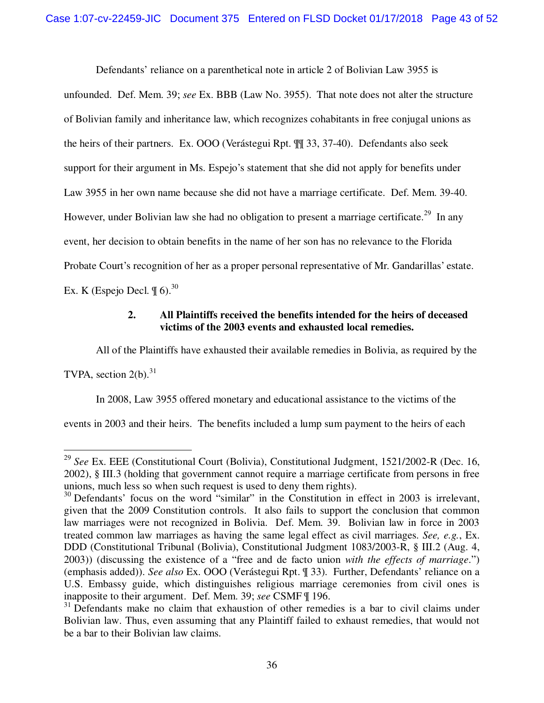Defendants' reliance on a parenthetical note in article 2 of Bolivian Law 3955 is

unfounded. Def. Mem. 39; *see* Ex. BBB (Law No. 3955). That note does not alter the structure of Bolivian family and inheritance law, which recognizes cohabitants in free conjugal unions as the heirs of their partners. Ex. OOO (Verástegui Rpt. ¶¶ 33, 37-40). Defendants also seek support for their argument in Ms. Espejo's statement that she did not apply for benefits under Law 3955 in her own name because she did not have a marriage certificate. Def. Mem. 39-40. However, under Bolivian law she had no obligation to present a marriage certificate.<sup>29</sup> In any event, her decision to obtain benefits in the name of her son has no relevance to the Florida Probate Court's recognition of her as a proper personal representative of Mr. Gandarillas' estate. Ex. K (Espejo Decl.  $\P$  6).<sup>30</sup>

#### **2. All Plaintiffs received the benefits intended for the heirs of deceased victims of the 2003 events and exhausted local remedies.**

All of the Plaintiffs have exhausted their available remedies in Bolivia, as required by the

TVPA, section  $2(b)$ .<sup>31</sup>

 $\overline{a}$ 

In 2008, Law 3955 offered monetary and educational assistance to the victims of the

events in 2003 and their heirs. The benefits included a lump sum payment to the heirs of each

<sup>29</sup> *See* Ex. EEE (Constitutional Court (Bolivia), Constitutional Judgment, 1521/2002-R (Dec. 16, 2002), § III.3 (holding that government cannot require a marriage certificate from persons in free unions, much less so when such request is used to deny them rights).

 $30$  Defendants' focus on the word "similar" in the Constitution in effect in 2003 is irrelevant, given that the 2009 Constitution controls. It also fails to support the conclusion that common law marriages were not recognized in Bolivia. Def. Mem. 39. Bolivian law in force in 2003 treated common law marriages as having the same legal effect as civil marriages. *See, e.g.*, Ex. DDD (Constitutional Tribunal (Bolivia), Constitutional Judgment 1083/2003-R, § III.2 (Aug. 4, 2003)) (discussing the existence of a "free and de facto union *with the effects of marriage*.") (emphasis added)). *See also* Ex. OOO (Verástegui Rpt. ¶ 33). Further, Defendants' reliance on a U.S. Embassy guide, which distinguishes religious marriage ceremonies from civil ones is inapposite to their argument. Def. Mem. 39; *see* CSMF ¶ 196.

 $31$  Defendants make no claim that exhaustion of other remedies is a bar to civil claims under Bolivian law. Thus, even assuming that any Plaintiff failed to exhaust remedies, that would not be a bar to their Bolivian law claims.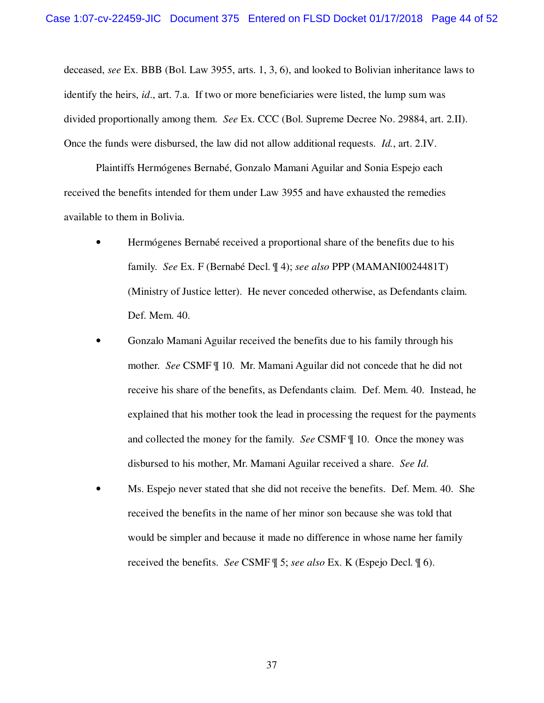deceased, *see* Ex. BBB (Bol. Law 3955, arts. 1, 3, 6), and looked to Bolivian inheritance laws to identify the heirs, *id*., art. 7.a. If two or more beneficiaries were listed, the lump sum was divided proportionally among them. *See* Ex. CCC (Bol. Supreme Decree No. 29884, art. 2.II). Once the funds were disbursed, the law did not allow additional requests. *Id.*, art. 2.IV.

Plaintiffs Hermógenes Bernabé, Gonzalo Mamani Aguilar and Sonia Espejo each received the benefits intended for them under Law 3955 and have exhausted the remedies available to them in Bolivia.

- Hermógenes Bernabé received a proportional share of the benefits due to his family. *See* Ex. F (Bernabé Decl. ¶ 4); *see also* PPP (MAMANI0024481T) (Ministry of Justice letter). He never conceded otherwise, as Defendants claim. Def. Mem. 40.
- Gonzalo Mamani Aguilar received the benefits due to his family through his mother. *See* CSMF ¶ 10. Mr. Mamani Aguilar did not concede that he did not receive his share of the benefits, as Defendants claim. Def. Mem. 40. Instead, he explained that his mother took the lead in processing the request for the payments and collected the money for the family. *See* CSMF ¶ 10. Once the money was disbursed to his mother, Mr. Mamani Aguilar received a share. *See Id*.
- Ms. Espejo never stated that she did not receive the benefits. Def. Mem. 40. She received the benefits in the name of her minor son because she was told that would be simpler and because it made no difference in whose name her family received the benefits. *See* CSMF ¶ 5; *see also* Ex. K (Espejo Decl. ¶ 6).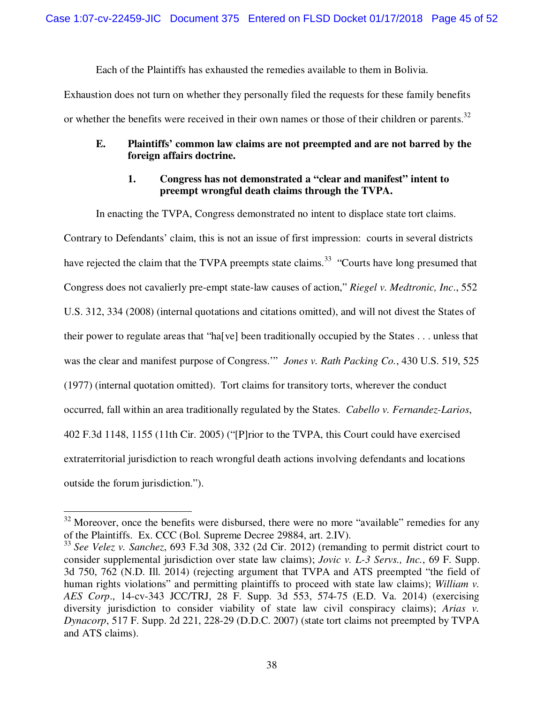Each of the Plaintiffs has exhausted the remedies available to them in Bolivia.

Exhaustion does not turn on whether they personally filed the requests for these family benefits or whether the benefits were received in their own names or those of their children or parents.<sup>32</sup>

#### **E. Plaintiffs' common law claims are not preempted and are not barred by the foreign affairs doctrine.**

#### **1. Congress has not demonstrated a "clear and manifest" intent to preempt wrongful death claims through the TVPA.**

In enacting the TVPA, Congress demonstrated no intent to displace state tort claims.

Contrary to Defendants' claim, this is not an issue of first impression: courts in several districts have rejected the claim that the TVPA preempts state claims.<sup>33</sup> "Courts have long presumed that Congress does not cavalierly pre-empt state-law causes of action," *Riegel v. Medtronic, Inc*., 552 U.S. 312, 334 (2008) (internal quotations and citations omitted), and will not divest the States of their power to regulate areas that "ha[ve] been traditionally occupied by the States . . . unless that was the clear and manifest purpose of Congress.'" *Jones v. Rath Packing Co.*, 430 U.S. 519, 525 (1977) (internal quotation omitted). Tort claims for transitory torts, wherever the conduct occurred, fall within an area traditionally regulated by the States. *Cabello v. Fernandez-Larios*, 402 F.3d 1148, 1155 (11th Cir. 2005) ("[P]rior to the TVPA, this Court could have exercised extraterritorial jurisdiction to reach wrongful death actions involving defendants and locations outside the forum jurisdiction.").

 $\overline{a}$ 

 $32$  Moreover, once the benefits were disbursed, there were no more "available" remedies for any of the Plaintiffs. Ex. CCC (Bol. Supreme Decree 29884, art. 2.IV).

<sup>33</sup> *See Velez v. Sanchez*, 693 F.3d 308, 332 (2d Cir. 2012) (remanding to permit district court to consider supplemental jurisdiction over state law claims); *Jovic v. L-3 Servs., Inc.*, 69 F. Supp. 3d 750, 762 (N.D. Ill. 2014) (rejecting argument that TVPA and ATS preempted "the field of human rights violations" and permitting plaintiffs to proceed with state law claims); *William v. AES Corp*., 14-cv-343 JCC/TRJ, 28 F. Supp. 3d 553, 574-75 (E.D. Va. 2014) (exercising diversity jurisdiction to consider viability of state law civil conspiracy claims); *Arias v. Dynacorp*, 517 F. Supp. 2d 221, 228-29 (D.D.C. 2007) (state tort claims not preempted by TVPA and ATS claims).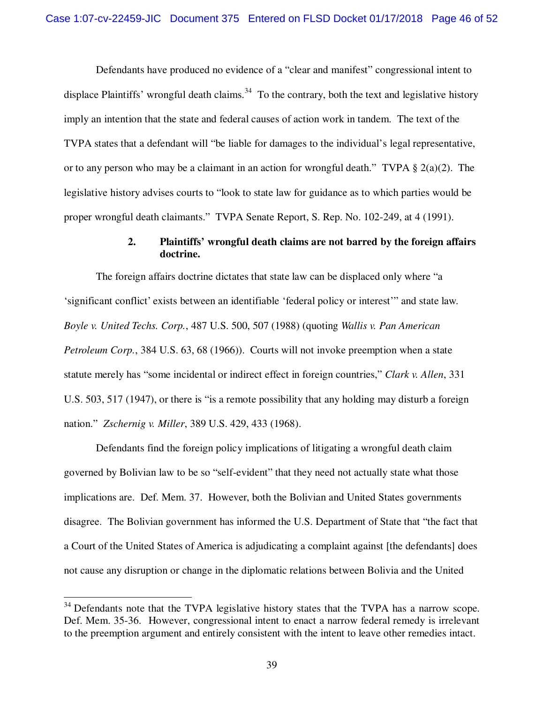Defendants have produced no evidence of a "clear and manifest" congressional intent to displace Plaintiffs' wrongful death claims.<sup>34</sup> To the contrary, both the text and legislative history imply an intention that the state and federal causes of action work in tandem. The text of the TVPA states that a defendant will "be liable for damages to the individual's legal representative, or to any person who may be a claimant in an action for wrongful death." TVPA  $\S$  2(a)(2). The legislative history advises courts to "look to state law for guidance as to which parties would be proper wrongful death claimants." TVPA Senate Report, S. Rep. No. 102-249, at 4 (1991).

#### **2. Plaintiffs' wrongful death claims are not barred by the foreign affairs doctrine.**

The foreign affairs doctrine dictates that state law can be displaced only where "a 'significant conflict' exists between an identifiable 'federal policy or interest'" and state law. *Boyle v. United Techs. Corp.*, 487 U.S. 500, 507 (1988) (quoting *Wallis v. Pan American Petroleum Corp.*, 384 U.S. 63, 68 (1966)). Courts will not invoke preemption when a state statute merely has "some incidental or indirect effect in foreign countries," *Clark v. Allen*, 331 U.S. 503, 517 (1947), or there is "is a remote possibility that any holding may disturb a foreign nation." *Zschernig v. Miller*, 389 U.S. 429, 433 (1968).

Defendants find the foreign policy implications of litigating a wrongful death claim governed by Bolivian law to be so "self-evident" that they need not actually state what those implications are. Def. Mem. 37.However, both the Bolivian and United States governments disagree. The Bolivian government has informed the U.S. Department of State that "the fact that a Court of the United States of America is adjudicating a complaint against [the defendants] does not cause any disruption or change in the diplomatic relations between Bolivia and the United

 $34$  Defendants note that the TVPA legislative history states that the TVPA has a narrow scope. Def. Mem. 35-36.However, congressional intent to enact a narrow federal remedy is irrelevant to the preemption argument and entirely consistent with the intent to leave other remedies intact.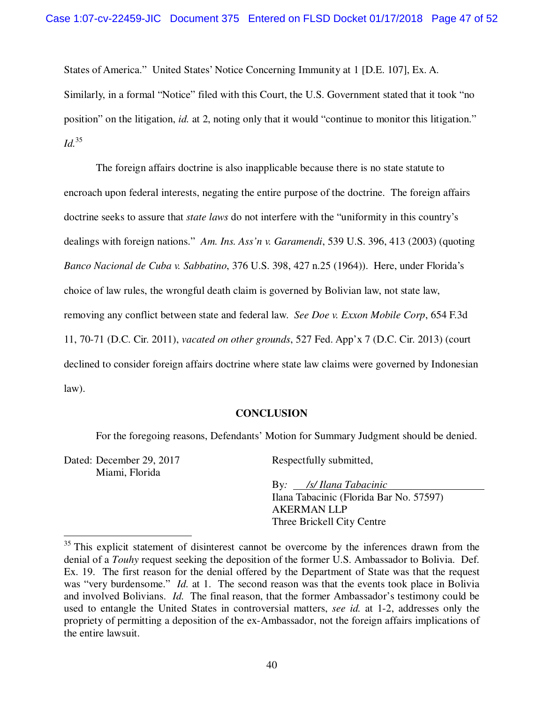States of America." United States' Notice Concerning Immunity at 1 [D.E. 107], Ex. A. Similarly, in a formal "Notice" filed with this Court, the U.S. Government stated that it took "no position" on the litigation, *id.* at 2, noting only that it would "continue to monitor this litigation." *Id.*<sup>35</sup>

The foreign affairs doctrine is also inapplicable because there is no state statute to encroach upon federal interests, negating the entire purpose of the doctrine. The foreign affairs doctrine seeks to assure that *state laws* do not interfere with the "uniformity in this country's dealings with foreign nations." *Am. Ins. Ass'n v. Garamendi*, 539 U.S. 396, 413 (2003) (quoting *Banco Nacional de Cuba v. Sabbatino*, 376 U.S. 398, 427 n.25 (1964)). Here, under Florida's choice of law rules, the wrongful death claim is governed by Bolivian law, not state law, removing any conflict between state and federal law. *See Doe v. Exxon Mobile Corp*, 654 F.3d 11, 70-71 (D.C. Cir. 2011), *vacated on other grounds*, 527 Fed. App'x 7 (D.C. Cir. 2013) (court declined to consider foreign affairs doctrine where state law claims were governed by Indonesian law).

#### **CONCLUSION**

For the foregoing reasons, Defendants' Motion for Summary Judgment should be denied.

Dated: December 29, 2017 Miami, Florida

 $\overline{a}$ 

Respectfully submitted,

By*: /s/ Ilana Tabacinic* Ilana Tabacinic (Florida Bar No. 57597) AKERMAN LLP Three Brickell City Centre

<sup>&</sup>lt;sup>35</sup> This explicit statement of disinterest cannot be overcome by the inferences drawn from the denial of a *Touhy* request seeking the deposition of the former U.S. Ambassador to Bolivia. Def. Ex. 19. The first reason for the denial offered by the Department of State was that the request was "very burdensome." *Id.* at 1. The second reason was that the events took place in Bolivia and involved Bolivians. *Id.* The final reason, that the former Ambassador's testimony could be used to entangle the United States in controversial matters, *see id.* at 1-2, addresses only the propriety of permitting a deposition of the ex-Ambassador, not the foreign affairs implications of the entire lawsuit.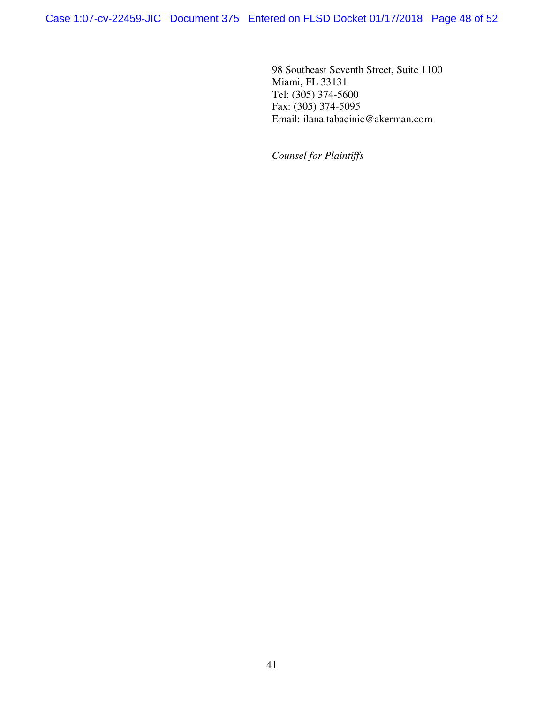Case 1:07-cv-22459-JIC Document 375 Entered on FLSD Docket 01/17/2018 Page 48 of 52

98 Southeast Seventh Street, Suite 1100 Miami, FL 33131 Tel: (305) 374-5600 Fax: (305) 374-5095 Email: ilana.tabacinic@akerman.com

*Counsel for Plaintiffs*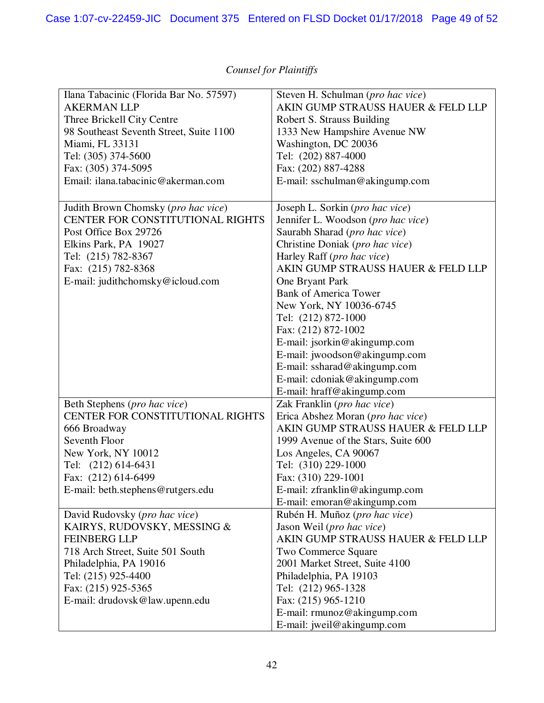| Ilana Tabacinic (Florida Bar No. 57597) | Steven H. Schulman (pro hac vice)   |
|-----------------------------------------|-------------------------------------|
| <b>AKERMAN LLP</b>                      | AKIN GUMP STRAUSS HAUER & FELD LLP  |
| Three Brickell City Centre              | Robert S. Strauss Building          |
| 98 Southeast Seventh Street, Suite 1100 | 1333 New Hampshire Avenue NW        |
| Miami, FL 33131                         | Washington, DC 20036                |
| Tel: (305) 374-5600                     | Tel: (202) 887-4000                 |
|                                         |                                     |
| Fax: (305) 374-5095                     | Fax: (202) 887-4288                 |
| Email: ilana.tabacinic@akerman.com      | E-mail: sschulman@akingump.com      |
| Judith Brown Chomsky (pro hac vice)     | Joseph L. Sorkin (pro hac vice)     |
| CENTER FOR CONSTITUTIONAL RIGHTS        | Jennifer L. Woodson (pro hac vice)  |
| Post Office Box 29726                   | Saurabh Sharad (pro hac vice)       |
| Elkins Park, PA 19027                   | Christine Doniak (pro hac vice)     |
| Tel: (215) 782-8367                     | Harley Raff (pro hac vice)          |
| Fax: (215) 782-8368                     | AKIN GUMP STRAUSS HAUER & FELD LLP  |
| E-mail: judithchomsky@icloud.com        | One Bryant Park                     |
|                                         | <b>Bank of America Tower</b>        |
|                                         |                                     |
|                                         | New York, NY 10036-6745             |
|                                         | Tel: (212) 872-1000                 |
|                                         | Fax: (212) 872-1002                 |
|                                         | E-mail: jsorkin@akingump.com        |
|                                         | E-mail: jwoodson@akingump.com       |
|                                         | E-mail: ssharad@akingump.com        |
|                                         | E-mail: cdoniak@akingump.com        |
|                                         | E-mail: hraff@akingump.com          |
| Beth Stephens (pro hac vice)            | Zak Franklin (pro hac vice)         |
| CENTER FOR CONSTITUTIONAL RIGHTS        | Erica Abshez Moran (pro hac vice)   |
| 666 Broadway                            | AKIN GUMP STRAUSS HAUER & FELD LLP  |
| Seventh Floor                           | 1999 Avenue of the Stars, Suite 600 |
| New York, NY 10012                      | Los Angeles, CA 90067               |
| Tel: (212) 614-6431                     | Tel: (310) 229-1000                 |
| Fax: (212) 614-6499                     | Fax: (310) 229-1001                 |
| E-mail: beth.stephens@rutgers.edu       | E-mail: $z$ franklin@akingump.com   |
|                                         | E-mail: emoran@akingump.com         |
| David Rudovsky (pro hac vice)           | Rubén H. Muñoz (pro hac vice)       |
| KAIRYS, RUDOVSKY, MESSING &             | Jason Weil (pro hac vice)           |
| <b>FEINBERG LLP</b>                     | AKIN GUMP STRAUSS HAUER & FELD LLP  |
|                                         |                                     |
| 718 Arch Street, Suite 501 South        | Two Commerce Square                 |
| Philadelphia, PA 19016                  | 2001 Market Street, Suite 4100      |
| Tel: (215) 925-4400                     | Philadelphia, PA 19103              |
| Fax: (215) 925-5365                     | Tel: (212) 965-1328                 |
| E-mail: drudovsk@law.upenn.edu          | Fax: (215) 965-1210                 |
|                                         | E-mail: rmunoz@akingump.com         |
|                                         | E-mail: jweil@akingump.com          |

# *Counsel for Plaintiffs*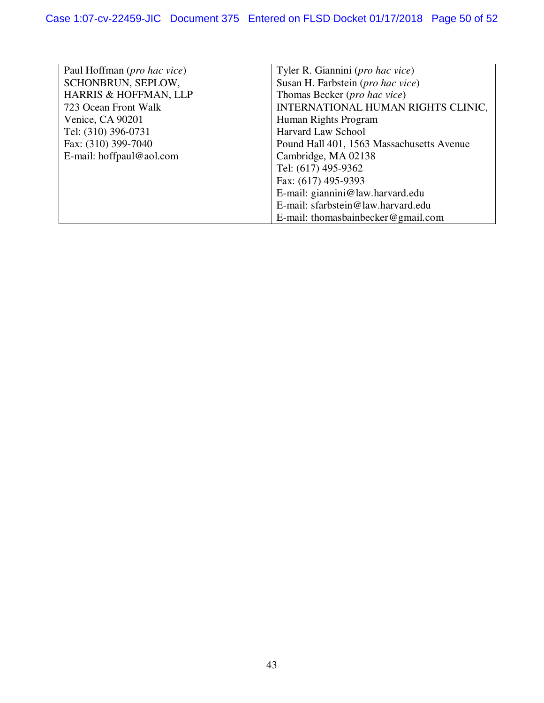| Paul Hoffman ( <i>pro hac vice</i> ) | Tyler R. Giannini ( <i>pro hac vice</i> ) |
|--------------------------------------|-------------------------------------------|
| SCHONBRUN, SEPLOW,                   | Susan H. Farbstein (pro hac vice)         |
| HARRIS & HOFFMAN, LLP                | Thomas Becker (pro hac vice)              |
| 723 Ocean Front Walk                 | INTERNATIONAL HUMAN RIGHTS CLINIC,        |
| Venice, CA 90201                     | Human Rights Program                      |
| Tel: (310) 396-0731                  | <b>Harvard Law School</b>                 |
| Fax: (310) 399-7040                  | Pound Hall 401, 1563 Massachusetts Avenue |
| E-mail: hoffpaul@aol.com             | Cambridge, MA 02138                       |
|                                      | Tel: (617) 495-9362                       |
|                                      | Fax: (617) 495-9393                       |
|                                      | E-mail: giannini@law.harvard.edu          |
|                                      | E-mail: sfarbstein@law.harvard.edu        |
|                                      | E-mail: thomasbainbecker@gmail.com        |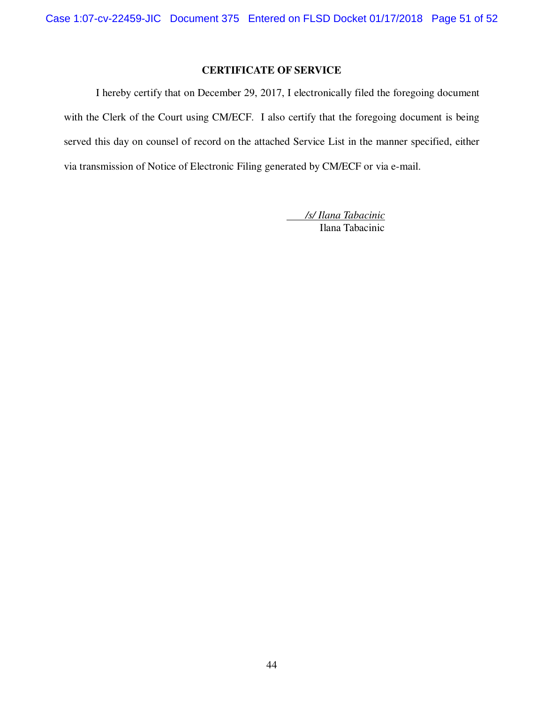# **CERTIFICATE OF SERVICE**

I hereby certify that on December 29, 2017, I electronically filed the foregoing document with the Clerk of the Court using CM/ECF. I also certify that the foregoing document is being served this day on counsel of record on the attached Service List in the manner specified, either via transmission of Notice of Electronic Filing generated by CM/ECF or via e-mail.

> */s/ Ilana Tabacinic* Ilana Tabacinic